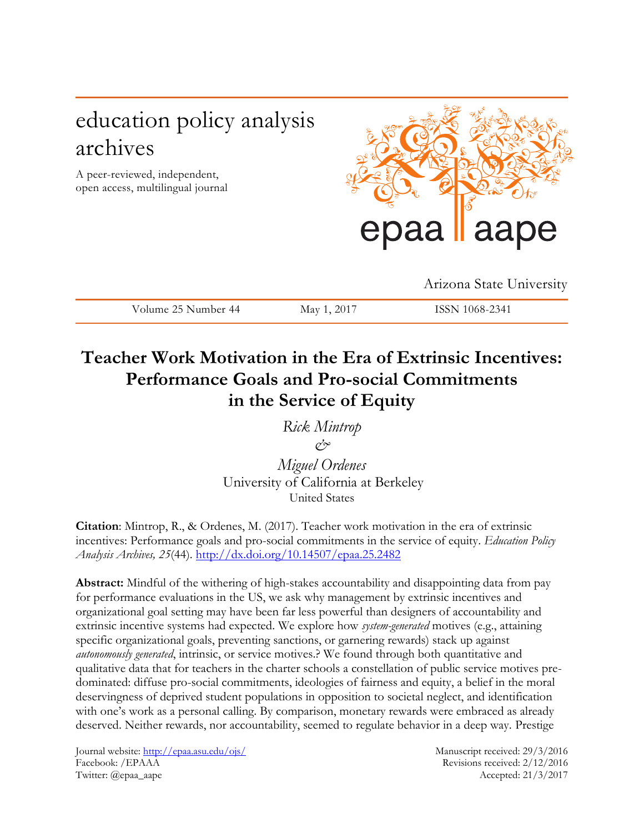# education policy analysis archives

A peer-reviewed, independent, open access, multilingual journal



Arizona State University

| ۵۳۰،<br>$\sim$ $\sim$ $\sim$<br>-44<br>__<br>the contract of the contract of | $N \cdot 2^{N}$<br>$-0.1$<br>__ |  |
|------------------------------------------------------------------------------|---------------------------------|--|

## **Teacher Work Motivation in the Era of Extrinsic Incentives: Performance Goals and Pro-social Commitments in the Service of Equity**

*Rick Mintrop & Miguel Ordenes*

University of California at Berkeley United States

**Citation**: Mintrop, R., & Ordenes, M. (2017). Teacher work motivation in the era of extrinsic incentives: Performance goals and pro-social commitments in the service of equity. *Education Policy Analysis Archives, 25*(44). <http://dx.doi.org/10.14507/epaa.25.2482>

**Abstract:** Mindful of the withering of high-stakes accountability and disappointing data from pay for performance evaluations in the US, we ask why management by extrinsic incentives and organizational goal setting may have been far less powerful than designers of accountability and extrinsic incentive systems had expected. We explore how *system-generated* motives (e.g., attaining specific organizational goals, preventing sanctions, or garnering rewards) stack up against *autonomously generated*, intrinsic, or service motives.? We found through both quantitative and qualitative data that for teachers in the charter schools a constellation of public service motives predominated: diffuse pro-social commitments, ideologies of fairness and equity, a belief in the moral deservingness of deprived student populations in opposition to societal neglect, and identification with one's work as a personal calling. By comparison, monetary rewards were embraced as already deserved. Neither rewards, nor accountability, seemed to regulate behavior in a deep way. Prestige

Journal website:<http://epaa.asu.edu/ojs/> Manuscript received: 29/3/2016 Facebook: /EPAAA Revisions received: 2/12/2016 Twitter: @epaa\_aape Accepted: 21/3/2017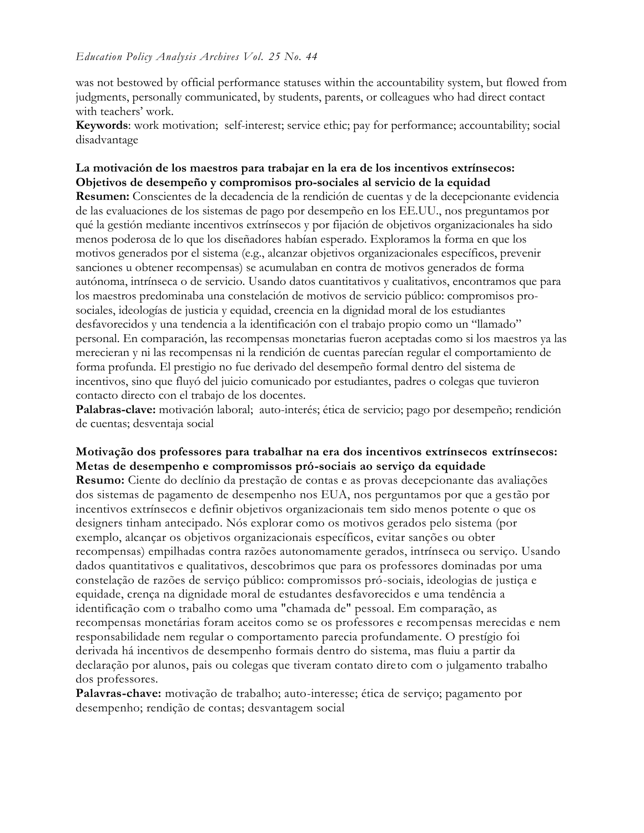#### *Education Policy Analysis Archives Vol. 25 No. 44*

was not bestowed by official performance statuses within the accountability system, but flowed from judgments, personally communicated, by students, parents, or colleagues who had direct contact with teachers' work.

**Keywords**: work motivation; self-interest; service ethic; pay for performance; accountability; social disadvantage

#### **La motivación de los maestros para trabajar en la era de los incentivos extrínsecos: Objetivos de desempeño y compromisos pro-sociales al servicio de la equidad**

**Resumen:** Conscientes de la decadencia de la rendición de cuentas y de la decepcionante evidencia de las evaluaciones de los sistemas de pago por desempeño en los EE.UU., nos preguntamos por qué la gestión mediante incentivos extrínsecos y por fijación de objetivos organizacionales ha sido menos poderosa de lo que los diseñadores habían esperado. Exploramos la forma en que los motivos generados por el sistema (e.g., alcanzar objetivos organizacionales específicos, prevenir sanciones u obtener recompensas) se acumulaban en contra de motivos generados de forma autónoma, intrínseca o de servicio. Usando datos cuantitativos y cualitativos, encontramos que para los maestros predominaba una constelación de motivos de servicio público: compromisos prosociales, ideologías de justicia y equidad, creencia en la dignidad moral de los estudiantes desfavorecidos y una tendencia a la identificación con el trabajo propio como un "llamado" personal. En comparación, las recompensas monetarias fueron aceptadas como si los maestros ya las merecieran y ni las recompensas ni la rendición de cuentas parecían regular el comportamiento de forma profunda. El prestigio no fue derivado del desempeño formal dentro del sistema de incentivos, sino que fluyó del juicio comunicado por estudiantes, padres o colegas que tuvieron contacto directo con el trabajo de los docentes.

**Palabras-clave:** motivación laboral; auto-interés; ética de servicio; pago por desempeño; rendición de cuentas; desventaja social

### **Motivação dos professores para trabalhar na era dos incentivos extrínsecos extrínsecos: Metas de desempenho e compromissos pró-sociais ao serviço da equidade**

**Resumo:** Ciente do declínio da prestação de contas e as provas decepcionante das avaliações dos sistemas de pagamento de desempenho nos EUA, nos perguntamos por que a gestão por incentivos extrínsecos e definir objetivos organizacionais tem sido menos potente o que os designers tinham antecipado. Nós explorar como os motivos gerados pelo sistema (por exemplo, alcançar os objetivos organizacionais específicos, evitar sanções ou obter recompensas) empilhadas contra razões autonomamente gerados, intrínseca ou serviço. Usando dados quantitativos e qualitativos, descobrimos que para os professores dominadas por uma constelação de razões de serviço público: compromissos pró-sociais, ideologias de justiça e equidade, crença na dignidade moral de estudantes desfavorecidos e uma tendência a identificação com o trabalho como uma "chamada de" pessoal. Em comparação, as recompensas monetárias foram aceitos como se os professores e recompensas merecidas e nem responsabilidade nem regular o comportamento parecia profundamente. O prestígio foi derivada há incentivos de desempenho formais dentro do sistema, mas fluiu a partir da declaração por alunos, pais ou colegas que tiveram contato direto com o julgamento trabalho dos professores.

**Palavras-chave:** motivação de trabalho; auto-interesse; ética de serviço; pagamento por desempenho; rendição de contas; desvantagem social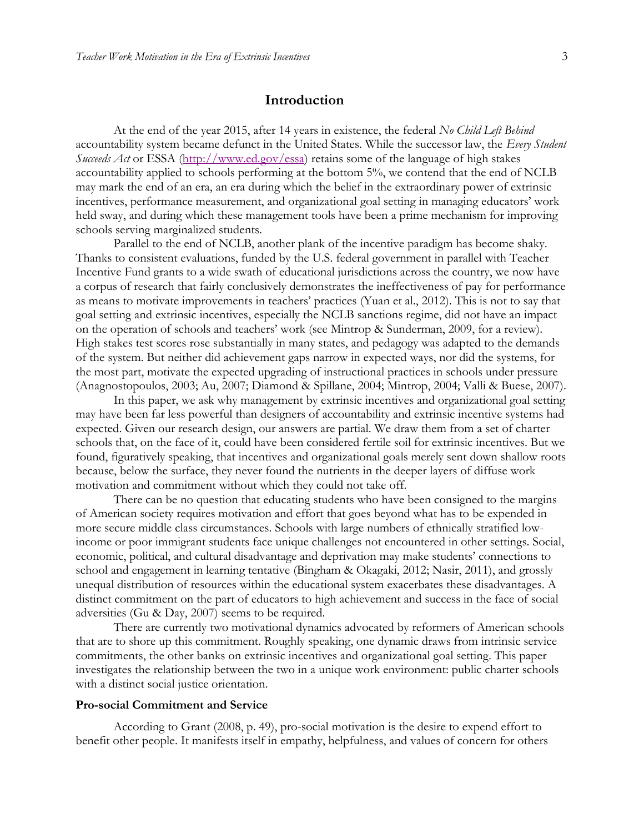#### **Introduction**

At the end of the year 2015, after 14 years in existence, the federal *No Child Left Behind* accountability system became defunct in the United States. While the successor law, the *Every Student Succeeds Act* or ESSA [\(http://www.ed.gov/essa\)](http://www.ed.gov/essa) retains some of the language of high stakes accountability applied to schools performing at the bottom 5%, we contend that the end of NCLB may mark the end of an era, an era during which the belief in the extraordinary power of extrinsic incentives, performance measurement, and organizational goal setting in managing educators' work held sway, and during which these management tools have been a prime mechanism for improving schools serving marginalized students.

Parallel to the end of NCLB, another plank of the incentive paradigm has become shaky. Thanks to consistent evaluations, funded by the U.S. federal government in parallel with Teacher Incentive Fund grants to a wide swath of educational jurisdictions across the country, we now have a corpus of research that fairly conclusively demonstrates the ineffectiveness of pay for performance as means to motivate improvements in teachers' practices (Yuan et al., 2012). This is not to say that goal setting and extrinsic incentives, especially the NCLB sanctions regime, did not have an impact on the operation of schools and teachers' work (see Mintrop & Sunderman, 2009, for a review). High stakes test scores rose substantially in many states, and pedagogy was adapted to the demands of the system. But neither did achievement gaps narrow in expected ways, nor did the systems, for the most part, motivate the expected upgrading of instructional practices in schools under pressure (Anagnostopoulos, 2003; Au, 2007; Diamond & Spillane, 2004; Mintrop, 2004; Valli & Buese, 2007).

In this paper, we ask why management by extrinsic incentives and organizational goal setting may have been far less powerful than designers of accountability and extrinsic incentive systems had expected. Given our research design, our answers are partial. We draw them from a set of charter schools that, on the face of it, could have been considered fertile soil for extrinsic incentives. But we found, figuratively speaking, that incentives and organizational goals merely sent down shallow roots because, below the surface, they never found the nutrients in the deeper layers of diffuse work motivation and commitment without which they could not take off.

There can be no question that educating students who have been consigned to the margins of American society requires motivation and effort that goes beyond what has to be expended in more secure middle class circumstances. Schools with large numbers of ethnically stratified lowincome or poor immigrant students face unique challenges not encountered in other settings. Social, economic, political, and cultural disadvantage and deprivation may make students' connections to school and engagement in learning tentative (Bingham & Okagaki, 2012; Nasir, 2011), and grossly unequal distribution of resources within the educational system exacerbates these disadvantages. A distinct commitment on the part of educators to high achievement and success in the face of social adversities (Gu & Day, 2007) seems to be required.

There are currently two motivational dynamics advocated by reformers of American schools that are to shore up this commitment. Roughly speaking, one dynamic draws from intrinsic service commitments, the other banks on extrinsic incentives and organizational goal setting. This paper investigates the relationship between the two in a unique work environment: public charter schools with a distinct social justice orientation.

#### **Pro-social Commitment and Service**

According to Grant (2008, p. 49), pro-social motivation is the desire to expend effort to benefit other people. It manifests itself in empathy, helpfulness, and values of concern for others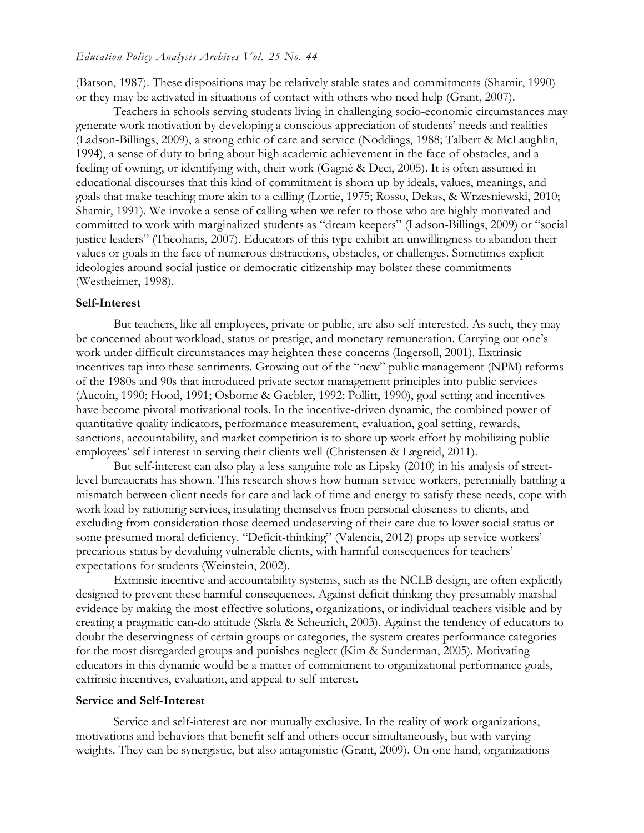(Batson, 1987). These dispositions may be relatively stable states and commitments (Shamir, 1990) or they may be activated in situations of contact with others who need help (Grant, 2007).

Teachers in schools serving students living in challenging socio-economic circumstances may generate work motivation by developing a conscious appreciation of students' needs and realities (Ladson-Billings, 2009), a strong ethic of care and service (Noddings, 1988; Talbert & McLaughlin, 1994), a sense of duty to bring about high academic achievement in the face of obstacles, and a feeling of owning, or identifying with, their work (Gagné & Deci, 2005). It is often assumed in educational discourses that this kind of commitment is shorn up by ideals, values, meanings, and goals that make teaching more akin to a calling (Lortie, 1975; Rosso, Dekas, & Wrzesniewski, 2010; Shamir, 1991). We invoke a sense of calling when we refer to those who are highly motivated and committed to work with marginalized students as "dream keepers" (Ladson-Billings, 2009) or "social justice leaders" (Theoharis, 2007). Educators of this type exhibit an unwillingness to abandon their values or goals in the face of numerous distractions, obstacles, or challenges. Sometimes explicit ideologies around social justice or democratic citizenship may bolster these commitments (Westheimer, 1998).

#### **Self-Interest**

But teachers, like all employees, private or public, are also self-interested. As such, they may be concerned about workload, status or prestige, and monetary remuneration. Carrying out one's work under difficult circumstances may heighten these concerns (Ingersoll, 2001). Extrinsic incentives tap into these sentiments. Growing out of the "new" public management (NPM) reforms of the 1980s and 90s that introduced private sector management principles into public services (Aucoin, 1990; Hood, 1991; Osborne & Gaebler, 1992; Pollitt, 1990), goal setting and incentives have become pivotal motivational tools. In the incentive-driven dynamic, the combined power of quantitative quality indicators, performance measurement, evaluation, goal setting, rewards, sanctions, accountability, and market competition is to shore up work effort by mobilizing public employees' self-interest in serving their clients well (Christensen & Lægreid, 2011).

But self-interest can also play a less sanguine role as Lipsky (2010) in his analysis of streetlevel bureaucrats has shown. This research shows how human-service workers, perennially battling a mismatch between client needs for care and lack of time and energy to satisfy these needs, cope with work load by rationing services, insulating themselves from personal closeness to clients, and excluding from consideration those deemed undeserving of their care due to lower social status or some presumed moral deficiency. "Deficit-thinking" (Valencia, 2012) props up service workers' precarious status by devaluing vulnerable clients, with harmful consequences for teachers' expectations for students (Weinstein, 2002).

Extrinsic incentive and accountability systems, such as the NCLB design, are often explicitly designed to prevent these harmful consequences. Against deficit thinking they presumably marshal evidence by making the most effective solutions, organizations, or individual teachers visible and by creating a pragmatic can-do attitude (Skrla & Scheurich, 2003). Against the tendency of educators to doubt the deservingness of certain groups or categories, the system creates performance categories for the most disregarded groups and punishes neglect (Kim & Sunderman, 2005). Motivating educators in this dynamic would be a matter of commitment to organizational performance goals, extrinsic incentives, evaluation, and appeal to self-interest.

#### **Service and Self-Interest**

Service and self-interest are not mutually exclusive. In the reality of work organizations, motivations and behaviors that benefit self and others occur simultaneously, but with varying weights. They can be synergistic, but also antagonistic (Grant, 2009). On one hand, organizations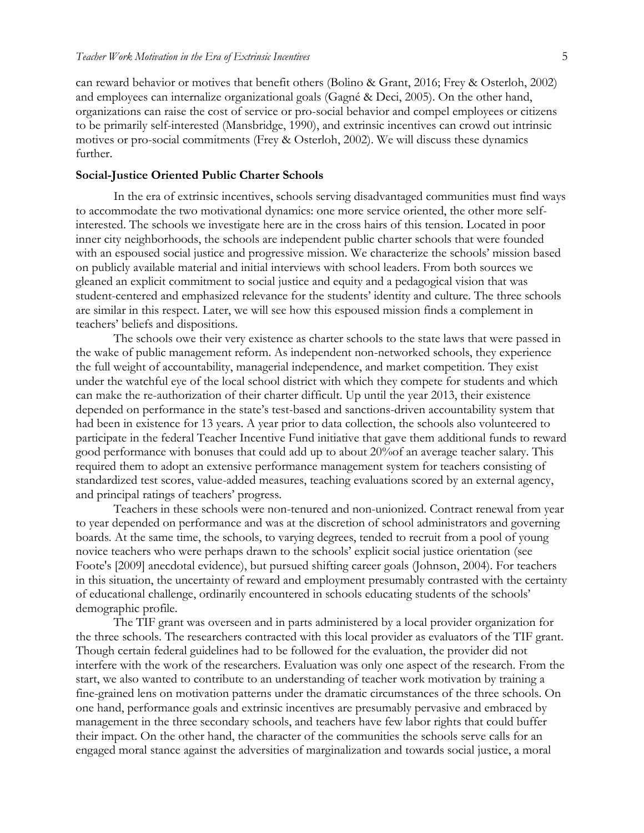can reward behavior or motives that benefit others (Bolino & Grant, 2016; Frey & Osterloh, 2002) and employees can internalize organizational goals (Gagné & Deci, 2005). On the other hand, organizations can raise the cost of service or pro-social behavior and compel employees or citizens to be primarily self-interested (Mansbridge, 1990), and extrinsic incentives can crowd out intrinsic motives or pro-social commitments (Frey & Osterloh, 2002). We will discuss these dynamics further.

#### **Social-Justice Oriented Public Charter Schools**

In the era of extrinsic incentives, schools serving disadvantaged communities must find ways to accommodate the two motivational dynamics: one more service oriented, the other more selfinterested. The schools we investigate here are in the cross hairs of this tension. Located in poor inner city neighborhoods, the schools are independent public charter schools that were founded with an espoused social justice and progressive mission. We characterize the schools' mission based on publicly available material and initial interviews with school leaders. From both sources we gleaned an explicit commitment to social justice and equity and a pedagogical vision that was student-centered and emphasized relevance for the students' identity and culture. The three schools are similar in this respect. Later, we will see how this espoused mission finds a complement in teachers' beliefs and dispositions.

The schools owe their very existence as charter schools to the state laws that were passed in the wake of public management reform. As independent non-networked schools, they experience the full weight of accountability, managerial independence, and market competition. They exist under the watchful eye of the local school district with which they compete for students and which can make the re-authorization of their charter difficult. Up until the year 2013, their existence depended on performance in the state's test-based and sanctions-driven accountability system that had been in existence for 13 years. A year prior to data collection, the schools also volunteered to participate in the federal Teacher Incentive Fund initiative that gave them additional funds to reward good performance with bonuses that could add up to about 20%of an average teacher salary. This required them to adopt an extensive performance management system for teachers consisting of standardized test scores, value-added measures, teaching evaluations scored by an external agency, and principal ratings of teachers' progress.

Teachers in these schools were non-tenured and non-unionized. Contract renewal from year to year depended on performance and was at the discretion of school administrators and governing boards. At the same time, the schools, to varying degrees, tended to recruit from a pool of young novice teachers who were perhaps drawn to the schools' explicit social justice orientation (see Foote's [2009] anecdotal evidence), but pursued shifting career goals (Johnson, 2004). For teachers in this situation, the uncertainty of reward and employment presumably contrasted with the certainty of educational challenge, ordinarily encountered in schools educating students of the schools' demographic profile.

The TIF grant was overseen and in parts administered by a local provider organization for the three schools. The researchers contracted with this local provider as evaluators of the TIF grant. Though certain federal guidelines had to be followed for the evaluation, the provider did not interfere with the work of the researchers. Evaluation was only one aspect of the research. From the start, we also wanted to contribute to an understanding of teacher work motivation by training a fine-grained lens on motivation patterns under the dramatic circumstances of the three schools. On one hand, performance goals and extrinsic incentives are presumably pervasive and embraced by management in the three secondary schools, and teachers have few labor rights that could buffer their impact. On the other hand, the character of the communities the schools serve calls for an engaged moral stance against the adversities of marginalization and towards social justice, a moral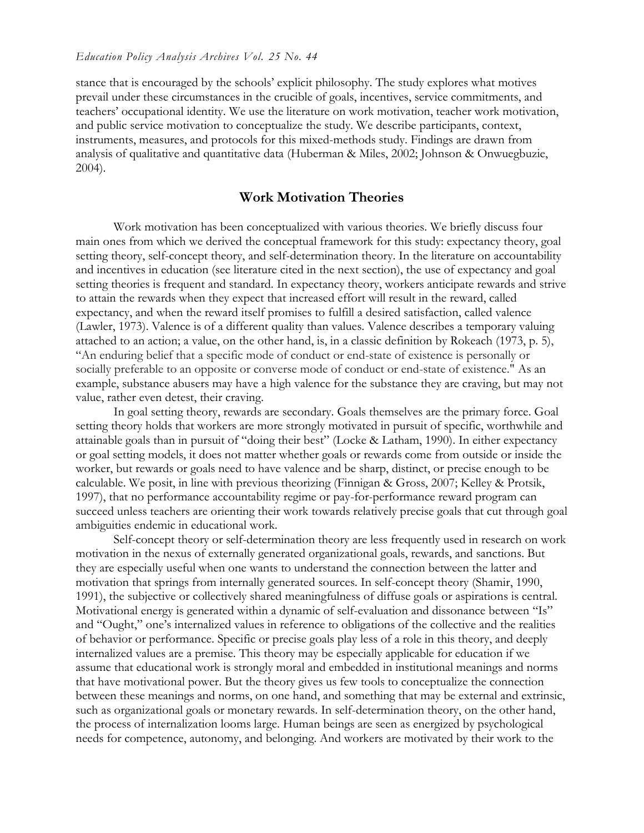stance that is encouraged by the schools' explicit philosophy. The study explores what motives prevail under these circumstances in the crucible of goals, incentives, service commitments, and teachers' occupational identity. We use the literature on work motivation, teacher work motivation, and public service motivation to conceptualize the study. We describe participants, context, instruments, measures, and protocols for this mixed-methods study. Findings are drawn from analysis of qualitative and quantitative data (Huberman & Miles, 2002; Johnson & Onwuegbuzie, 2004).

#### **Work Motivation Theories**

Work motivation has been conceptualized with various theories. We briefly discuss four main ones from which we derived the conceptual framework for this study: expectancy theory, goal setting theory, self-concept theory, and self-determination theory. In the literature on accountability and incentives in education (see literature cited in the next section), the use of expectancy and goal setting theories is frequent and standard. In expectancy theory, workers anticipate rewards and strive to attain the rewards when they expect that increased effort will result in the reward, called expectancy, and when the reward itself promises to fulfill a desired satisfaction, called valence (Lawler, 1973). Valence is of a different quality than values. Valence describes a temporary valuing attached to an action; a value, on the other hand, is, in a classic definition by Rokeach (1973, p. 5), "An enduring belief that a specific mode of conduct or end-state of existence is personally or socially preferable to an opposite or converse mode of conduct or end-state of existence." As an example, substance abusers may have a high valence for the substance they are craving, but may not value, rather even detest, their craving.

In goal setting theory, rewards are secondary. Goals themselves are the primary force. Goal setting theory holds that workers are more strongly motivated in pursuit of specific, worthwhile and attainable goals than in pursuit of "doing their best" (Locke & Latham, 1990). In either expectancy or goal setting models, it does not matter whether goals or rewards come from outside or inside the worker, but rewards or goals need to have valence and be sharp, distinct, or precise enough to be calculable. We posit, in line with previous theorizing (Finnigan & Gross, 2007; Kelley & Protsik, 1997), that no performance accountability regime or pay-for-performance reward program can succeed unless teachers are orienting their work towards relatively precise goals that cut through goal ambiguities endemic in educational work.

Self-concept theory or self-determination theory are less frequently used in research on work motivation in the nexus of externally generated organizational goals, rewards, and sanctions. But they are especially useful when one wants to understand the connection between the latter and motivation that springs from internally generated sources. In self-concept theory (Shamir, 1990, 1991), the subjective or collectively shared meaningfulness of diffuse goals or aspirations is central. Motivational energy is generated within a dynamic of self-evaluation and dissonance between "Is" and "Ought," one's internalized values in reference to obligations of the collective and the realities of behavior or performance. Specific or precise goals play less of a role in this theory, and deeply internalized values are a premise. This theory may be especially applicable for education if we assume that educational work is strongly moral and embedded in institutional meanings and norms that have motivational power. But the theory gives us few tools to conceptualize the connection between these meanings and norms, on one hand, and something that may be external and extrinsic, such as organizational goals or monetary rewards. In self-determination theory, on the other hand, the process of internalization looms large. Human beings are seen as energized by psychological needs for competence, autonomy, and belonging. And workers are motivated by their work to the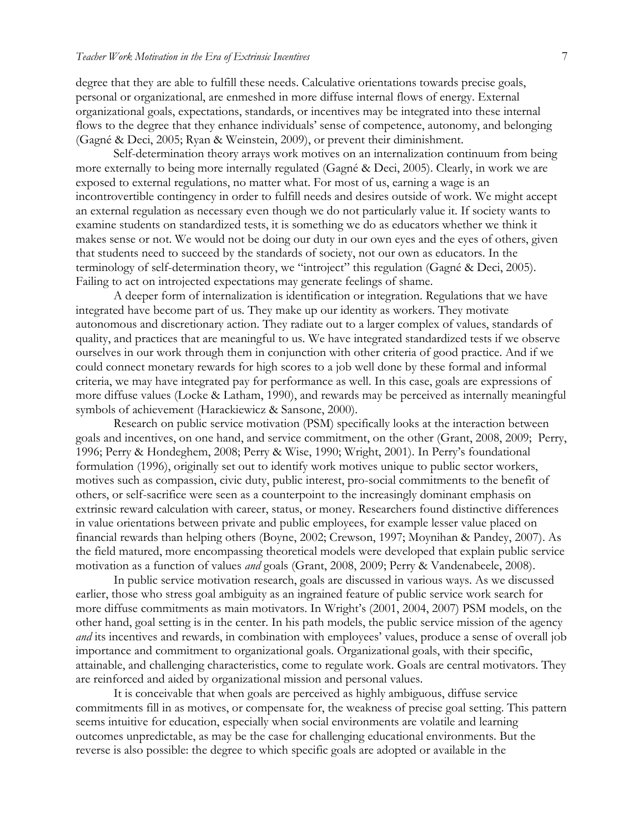degree that they are able to fulfill these needs. Calculative orientations towards precise goals, personal or organizational, are enmeshed in more diffuse internal flows of energy. External organizational goals, expectations, standards, or incentives may be integrated into these internal flows to the degree that they enhance individuals' sense of competence, autonomy, and belonging (Gagné & Deci, 2005; Ryan & Weinstein, 2009), or prevent their diminishment.

Self-determination theory arrays work motives on an internalization continuum from being more externally to being more internally regulated (Gagné & Deci, 2005). Clearly, in work we are exposed to external regulations, no matter what. For most of us, earning a wage is an incontrovertible contingency in order to fulfill needs and desires outside of work. We might accept an external regulation as necessary even though we do not particularly value it. If society wants to examine students on standardized tests, it is something we do as educators whether we think it makes sense or not. We would not be doing our duty in our own eyes and the eyes of others, given that students need to succeed by the standards of society, not our own as educators. In the terminology of self-determination theory, we "introject" this regulation (Gagné & Deci, 2005). Failing to act on introjected expectations may generate feelings of shame.

A deeper form of internalization is identification or integration. Regulations that we have integrated have become part of us. They make up our identity as workers. They motivate autonomous and discretionary action. They radiate out to a larger complex of values, standards of quality, and practices that are meaningful to us. We have integrated standardized tests if we observe ourselves in our work through them in conjunction with other criteria of good practice. And if we could connect monetary rewards for high scores to a job well done by these formal and informal criteria, we may have integrated pay for performance as well. In this case, goals are expressions of more diffuse values (Locke & Latham, 1990), and rewards may be perceived as internally meaningful symbols of achievement (Harackiewicz & Sansone, 2000).

Research on public service motivation (PSM) specifically looks at the interaction between goals and incentives, on one hand, and service commitment, on the other (Grant, 2008, 2009; Perry, 1996; Perry & Hondeghem, 2008; Perry & Wise, 1990; Wright, 2001). In Perry's foundational formulation (1996), originally set out to identify work motives unique to public sector workers, motives such as compassion, civic duty, public interest, pro-social commitments to the benefit of others, or self-sacrifice were seen as a counterpoint to the increasingly dominant emphasis on extrinsic reward calculation with career, status, or money. Researchers found distinctive differences in value orientations between private and public employees, for example lesser value placed on financial rewards than helping others (Boyne, 2002; Crewson, 1997; Moynihan & Pandey, 2007). As the field matured, more encompassing theoretical models were developed that explain public service motivation as a function of values *and* goals (Grant, 2008, 2009; Perry & Vandenabeele, 2008).

In public service motivation research, goals are discussed in various ways. As we discussed earlier, those who stress goal ambiguity as an ingrained feature of public service work search for more diffuse commitments as main motivators. In Wright's (2001, 2004, 2007) PSM models, on the other hand, goal setting is in the center. In his path models, the public service mission of the agency *and* its incentives and rewards, in combination with employees' values, produce a sense of overall job importance and commitment to organizational goals. Organizational goals, with their specific, attainable, and challenging characteristics, come to regulate work. Goals are central motivators. They are reinforced and aided by organizational mission and personal values.

It is conceivable that when goals are perceived as highly ambiguous, diffuse service commitments fill in as motives, or compensate for, the weakness of precise goal setting. This pattern seems intuitive for education, especially when social environments are volatile and learning outcomes unpredictable, as may be the case for challenging educational environments. But the reverse is also possible: the degree to which specific goals are adopted or available in the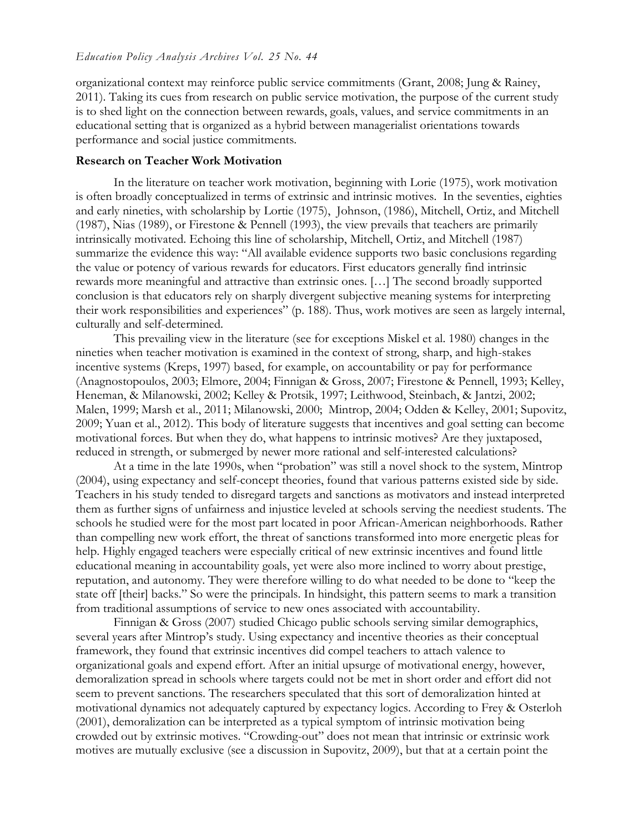organizational context may reinforce public service commitments (Grant, 2008; Jung & Rainey, 2011). Taking its cues from research on public service motivation, the purpose of the current study is to shed light on the connection between rewards, goals, values, and service commitments in an educational setting that is organized as a hybrid between managerialist orientations towards performance and social justice commitments.

#### **Research on Teacher Work Motivation**

In the literature on teacher work motivation, beginning with Lorie (1975), work motivation is often broadly conceptualized in terms of extrinsic and intrinsic motives. In the seventies, eighties and early nineties, with scholarship by Lortie (1975), Johnson, (1986), Mitchell, Ortiz, and Mitchell (1987), Nias (1989), or Firestone & Pennell (1993), the view prevails that teachers are primarily intrinsically motivated. Echoing this line of scholarship, Mitchell, Ortiz, and Mitchell (1987) summarize the evidence this way: "All available evidence supports two basic conclusions regarding the value or potency of various rewards for educators. First educators generally find intrinsic rewards more meaningful and attractive than extrinsic ones. […] The second broadly supported conclusion is that educators rely on sharply divergent subjective meaning systems for interpreting their work responsibilities and experiences" (p. 188). Thus, work motives are seen as largely internal, culturally and self-determined.

This prevailing view in the literature (see for exceptions Miskel et al. 1980) changes in the nineties when teacher motivation is examined in the context of strong, sharp, and high-stakes incentive systems (Kreps, 1997) based, for example, on accountability or pay for performance (Anagnostopoulos, 2003; Elmore, 2004; Finnigan & Gross, 2007; Firestone & Pennell, 1993; Kelley, Heneman, & Milanowski, 2002; Kelley & Protsik, 1997; Leithwood, Steinbach, & Jantzi, 2002; Malen, 1999; Marsh et al., 2011; Milanowski, 2000; Mintrop, 2004; Odden & Kelley, 2001; Supovitz, 2009; Yuan et al., 2012). This body of literature suggests that incentives and goal setting can become motivational forces. But when they do, what happens to intrinsic motives? Are they juxtaposed, reduced in strength, or submerged by newer more rational and self-interested calculations?

At a time in the late 1990s, when "probation" was still a novel shock to the system, Mintrop (2004), using expectancy and self-concept theories, found that various patterns existed side by side. Teachers in his study tended to disregard targets and sanctions as motivators and instead interpreted them as further signs of unfairness and injustice leveled at schools serving the neediest students. The schools he studied were for the most part located in poor African-American neighborhoods. Rather than compelling new work effort, the threat of sanctions transformed into more energetic pleas for help. Highly engaged teachers were especially critical of new extrinsic incentives and found little educational meaning in accountability goals, yet were also more inclined to worry about prestige, reputation, and autonomy. They were therefore willing to do what needed to be done to "keep the state off [their] backs." So were the principals. In hindsight, this pattern seems to mark a transition from traditional assumptions of service to new ones associated with accountability.

Finnigan & Gross (2007) studied Chicago public schools serving similar demographics, several years after Mintrop's study. Using expectancy and incentive theories as their conceptual framework, they found that extrinsic incentives did compel teachers to attach valence to organizational goals and expend effort. After an initial upsurge of motivational energy, however, demoralization spread in schools where targets could not be met in short order and effort did not seem to prevent sanctions. The researchers speculated that this sort of demoralization hinted at motivational dynamics not adequately captured by expectancy logics. According to Frey & Osterloh (2001), demoralization can be interpreted as a typical symptom of intrinsic motivation being crowded out by extrinsic motives. "Crowding-out" does not mean that intrinsic or extrinsic work motives are mutually exclusive (see a discussion in Supovitz, 2009), but that at a certain point the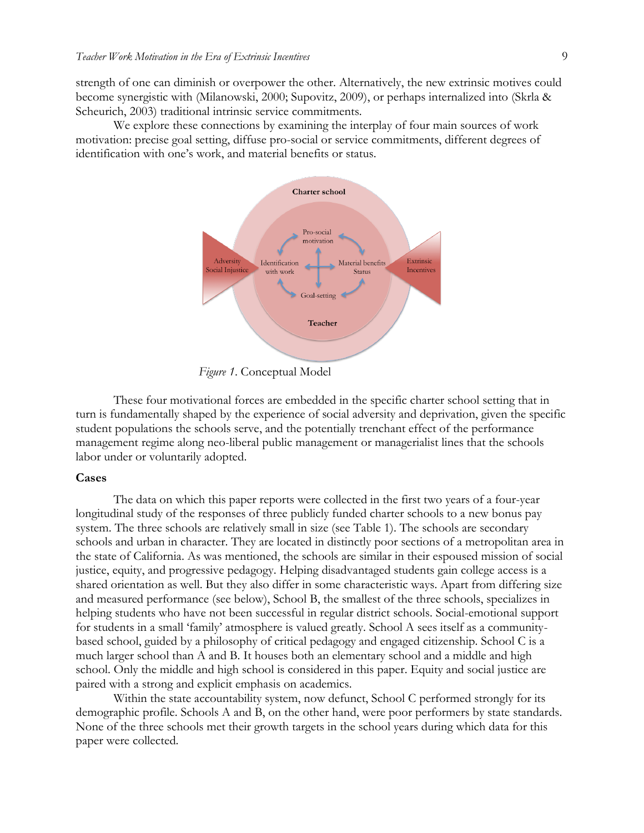strength of one can diminish or overpower the other. Alternatively, the new extrinsic motives could become synergistic with (Milanowski, 2000; Supovitz, 2009), or perhaps internalized into (Skrla & Scheurich, 2003) traditional intrinsic service commitments.

We explore these connections by examining the interplay of four main sources of work motivation: precise goal setting, diffuse pro-social or service commitments, different degrees of identification with one's work, and material benefits or status.



*Figure 1*. Conceptual Model

These four motivational forces are embedded in the specific charter school setting that in turn is fundamentally shaped by the experience of social adversity and deprivation, given the specific student populations the schools serve, and the potentially trenchant effect of the performance management regime along neo-liberal public management or managerialist lines that the schools labor under or voluntarily adopted.

#### **Cases**

The data on which this paper reports were collected in the first two years of a four-year longitudinal study of the responses of three publicly funded charter schools to a new bonus pay system. The three schools are relatively small in size (see Table 1). The schools are secondary schools and urban in character. They are located in distinctly poor sections of a metropolitan area in the state of California. As was mentioned, the schools are similar in their espoused mission of social justice, equity, and progressive pedagogy. Helping disadvantaged students gain college access is a shared orientation as well. But they also differ in some characteristic ways. Apart from differing size and measured performance (see below), School B, the smallest of the three schools, specializes in helping students who have not been successful in regular district schools. Social-emotional support for students in a small 'family' atmosphere is valued greatly. School A sees itself as a communitybased school, guided by a philosophy of critical pedagogy and engaged citizenship. School C is a much larger school than A and B. It houses both an elementary school and a middle and high school. Only the middle and high school is considered in this paper. Equity and social justice are paired with a strong and explicit emphasis on academics.

Within the state accountability system, now defunct, School C performed strongly for its demographic profile. Schools A and B, on the other hand, were poor performers by state standards. None of the three schools met their growth targets in the school years during which data for this paper were collected.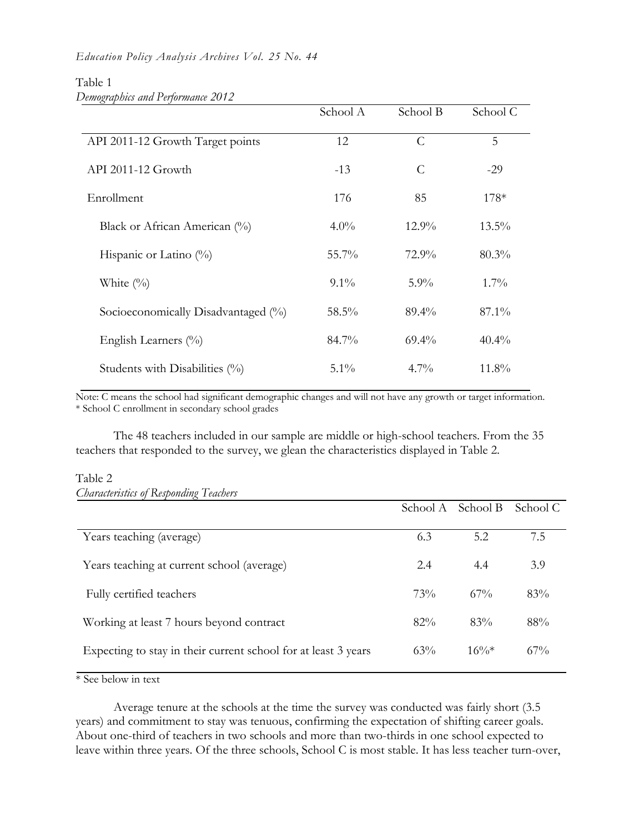#### Table 1 *Demographics and Performance 2012*

|                                     | School A | School B      | School C |
|-------------------------------------|----------|---------------|----------|
| API 2011-12 Growth Target points    | 12       | $\mathcal{C}$ | 5        |
| API 2011-12 Growth                  | $-13$    | $\mathcal{C}$ | $-29$    |
| Enrollment                          | 176      | 85            | $178*$   |
| Black or African American (%)       | $4.0\%$  | $12.9\%$      | $13.5\%$ |
| Hispanic or Latino $(\%)$           | $55.7\%$ | $72.9\%$      | $80.3\%$ |
| White $(\%)$                        | $9.1\%$  | $5.9\%$       | $1.7\%$  |
| Socioeconomically Disadvantaged (%) | 58.5%    | $89.4\%$      | $87.1\%$ |
| English Learners $(\%)$             | 84.7%    | $69.4\%$      | $40.4\%$ |
| Students with Disabilities (%)      | $5.1\%$  | $4.7\%$       | $11.8\%$ |

Note: C means the school had significant demographic changes and will not have any growth or target information. \* School C enrollment in secondary school grades

The 48 teachers included in our sample are middle or high-school teachers. From the 35 teachers that responded to the survey, we glean the characteristics displayed in Table 2.

#### Table 2

| <b>Characteristics of Responding Teachers</b> |  |
|-----------------------------------------------|--|
|                                               |  |

|                                                                | School A | - School B | School C |
|----------------------------------------------------------------|----------|------------|----------|
| Years teaching (average)                                       | 6.3      | 5.2        | 7.5      |
| Years teaching at current school (average)                     | 2.4      | 4.4        | 3.9      |
| Fully certified teachers                                       | 73%      | $67\%$     | 83%      |
| Working at least 7 hours beyond contract                       | 82%      | 83%        | 88%      |
| Expecting to stay in their current school for at least 3 years | $63\%$   | $16\%*$    | $67\%$   |

\* See below in text

Average tenure at the schools at the time the survey was conducted was fairly short (3.5 years) and commitment to stay was tenuous, confirming the expectation of shifting career goals. About one-third of teachers in two schools and more than two-thirds in one school expected to leave within three years. Of the three schools, School C is most stable. It has less teacher turn-over,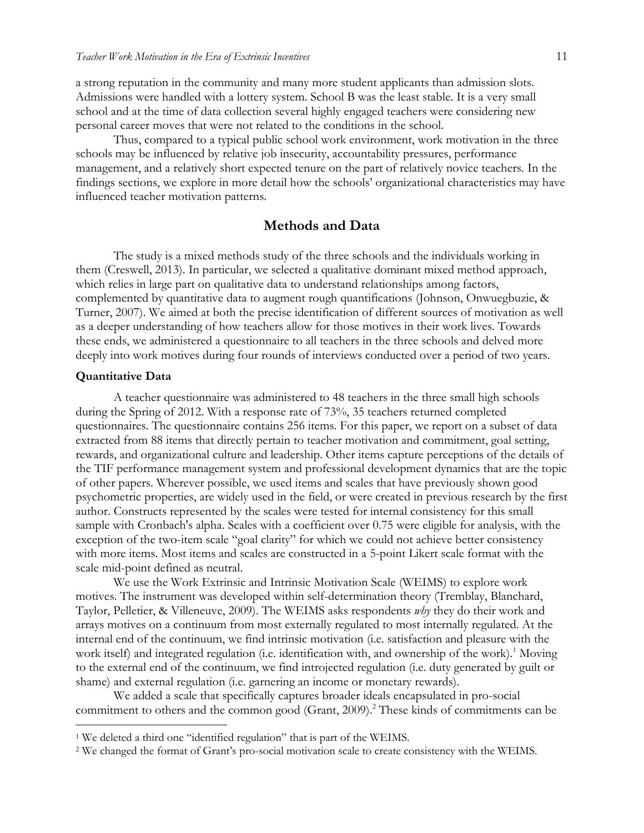a strong reputation in the community and many more student applicants than admission slots. Admissions were handled with a lottery system. School B was the least stable. It is a very small school and at the time of data collection several highly engaged teachers were considering new personal career moves that were not related to the conditions in the school.

Thus, compared to a typical public school work environment, work motivation in the three schools may be influenced by relative job insecurity, accountability pressures, performance management, and a relatively short expected tenure on the part of relatively novice teachers. In the findings sections, we explore in more detail how the schools' organizational characteristics may have influenced teacher motivation patterns.

## **Methods and Data**

The study is a mixed methods study of the three schools and the individuals working in them (Creswell, 2013). In particular, we selected a qualitative dominant mixed method approach, which relies in large part on qualitative data to understand relationships among factors, complemented by quantitative data to augment rough quantifications (Johnson, Onwuegbuzie, & Turner, 2007). We aimed at both the precise identification of different sources of motivation as well as a deeper understanding of how teachers allow for those motives in their work lives. Towards these ends, we administered a questionnaire to all teachers in the three schools and delved more deeply into work motives during four rounds of interviews conducted over a period of two years.

#### **Quantitative Data**

 $\overline{a}$ 

A teacher questionnaire was administered to 48 teachers in the three small high schools during the Spring of 2012. With a response rate of 73%, 35 teachers returned completed questionnaires. The questionnaire contains 256 items. For this paper, we report on a subset of data extracted from 88 items that directly pertain to teacher motivation and commitment, goal setting, rewards, and organizational culture and leadership. Other items capture perceptions of the details of the TIF performance management system and professional development dynamics that are the topic of other papers. Wherever possible, we used items and scales that have previously shown good psychometric properties, are widely used in the field, or were created in previous research by the first author. Constructs represented by the scales were tested for internal consistency for this small sample with Cronbach's alpha. Scales with a coefficient over 0.75 were eligible for analysis, with the exception of the two-item scale "goal clarity" for which we could not achieve better consistency with more items. Most items and scales are constructed in a 5-point Likert scale format with the scale mid-point defined as neutral.

We use the Work Extrinsic and Intrinsic Motivation Scale (WEIMS) to explore work motives. The instrument was developed within self-determination theory (Tremblay, Blanchard, Taylor, Pelletier, & Villeneuve, 2009). The WEIMS asks respondents *why* they do their work and arrays motives on a continuum from most externally regulated to most internally regulated. At the internal end of the continuum, we find intrinsic motivation (i.e. satisfaction and pleasure with the work itself) and integrated regulation (i.e. identification with, and ownership of the work).<sup>1</sup> Moving to the external end of the continuum, we find introjected regulation (i.e. duty generated by guilt or shame) and external regulation (i.e. garnering an income or monetary rewards).

We added a scale that specifically captures broader ideals encapsulated in pro-social commitment to others and the common good (Grant, 2009). <sup>2</sup> These kinds of commitments can be

<sup>1</sup> We deleted a third one "identified regulation" that is part of the WEIMS.

<sup>2</sup> We changed the format of Grant's pro-social motivation scale to create consistency with the WEIMS.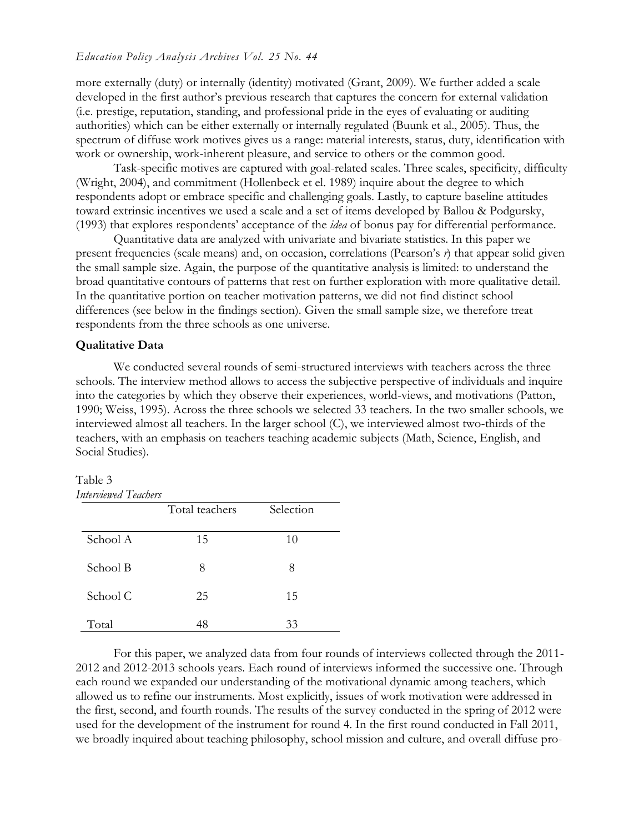#### *Education Policy Analysis Archives Vol. 25 No. 44*

more externally (duty) or internally (identity) motivated (Grant, 2009). We further added a scale developed in the first author's previous research that captures the concern for external validation (i.e. prestige, reputation, standing, and professional pride in the eyes of evaluating or auditing authorities) which can be either externally or internally regulated (Buunk et al., 2005). Thus, the spectrum of diffuse work motives gives us a range: material interests, status, duty, identification with work or ownership, work-inherent pleasure, and service to others or the common good.

Task-specific motives are captured with goal-related scales. Three scales, specificity, difficulty (Wright, 2004), and commitment (Hollenbeck et el. 1989) inquire about the degree to which respondents adopt or embrace specific and challenging goals. Lastly, to capture baseline attitudes toward extrinsic incentives we used a scale and a set of items developed by Ballou & Podgursky, (1993) that explores respondents' acceptance of the *idea* of bonus pay for differential performance.

Quantitative data are analyzed with univariate and bivariate statistics. In this paper we present frequencies (scale means) and, on occasion, correlations (Pearson's *r*) that appear solid given the small sample size. Again, the purpose of the quantitative analysis is limited: to understand the broad quantitative contours of patterns that rest on further exploration with more qualitative detail. In the quantitative portion on teacher motivation patterns, we did not find distinct school differences (see below in the findings section). Given the small sample size, we therefore treat respondents from the three schools as one universe.

#### **Qualitative Data**

We conducted several rounds of semi-structured interviews with teachers across the three schools. The interview method allows to access the subjective perspective of individuals and inquire into the categories by which they observe their experiences, world-views, and motivations (Patton, 1990; Weiss, 1995). Across the three schools we selected 33 teachers. In the two smaller schools, we interviewed almost all teachers. In the larger school (C), we interviewed almost two-thirds of the teachers, with an emphasis on teachers teaching academic subjects (Math, Science, English, and Social Studies).

## Table 3

| Interviewed Teachers |                |           |
|----------------------|----------------|-----------|
|                      | Total teachers | Selection |
| School A             | 15             | 10        |
| School B             | 8              | 8         |
| School C             | 25             | 15        |
| Total                | 48             | 33        |

For this paper, we analyzed data from four rounds of interviews collected through the 2011- 2012 and 2012-2013 schools years. Each round of interviews informed the successive one. Through each round we expanded our understanding of the motivational dynamic among teachers, which allowed us to refine our instruments. Most explicitly, issues of work motivation were addressed in the first, second, and fourth rounds. The results of the survey conducted in the spring of 2012 were used for the development of the instrument for round 4. In the first round conducted in Fall 2011, we broadly inquired about teaching philosophy, school mission and culture, and overall diffuse pro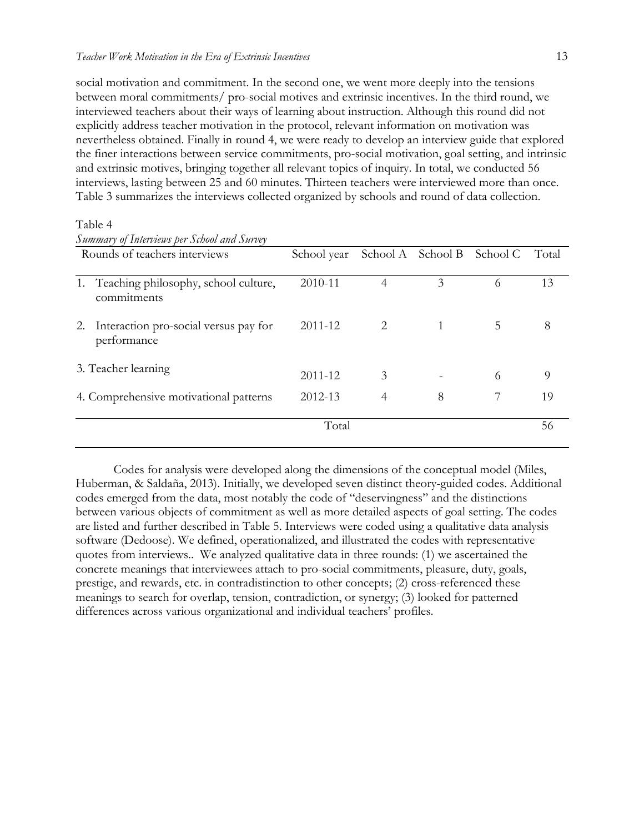social motivation and commitment. In the second one, we went more deeply into the tensions between moral commitments/ pro-social motives and extrinsic incentives. In the third round, we interviewed teachers about their ways of learning about instruction. Although this round did not explicitly address teacher motivation in the protocol, relevant information on motivation was nevertheless obtained. Finally in round 4, we were ready to develop an interview guide that explored the finer interactions between service commitments, pro-social motivation, goal setting, and intrinsic and extrinsic motives, bringing together all relevant topics of inquiry. In total, we conducted 56 interviews, lasting between 25 and 60 minutes. Thirteen teachers were interviewed more than once. Table 3 summarizes the interviews collected organized by schools and round of data collection.

|    | Summary of Interviews per School and Survey            |             |                |          |          |       |
|----|--------------------------------------------------------|-------------|----------------|----------|----------|-------|
|    | Rounds of teachers interviews                          | School year | School A       | School B | School C | Total |
|    |                                                        |             |                |          |          |       |
|    | 1. Teaching philosophy, school culture,<br>commitments | 2010-11     | $\overline{4}$ | 3        | 6        | 13    |
| 2. | Interaction pro-social versus pay for<br>performance   | 2011-12     |                |          | 5.       | 8     |
|    | 3. Teacher learning                                    | 2011-12     | 3              |          | 6        | 9     |
|    | 4. Comprehensive motivational patterns                 | 2012-13     | 4              | 8        |          | 19    |
|    | Total                                                  |             | 56             |          |          |       |

## Table 4

Codes for analysis were developed along the dimensions of the conceptual model (Miles, Huberman, & Saldaña, 2013). Initially, we developed seven distinct theory-guided codes. Additional codes emerged from the data, most notably the code of "deservingness" and the distinctions between various objects of commitment as well as more detailed aspects of goal setting. The codes are listed and further described in Table 5. Interviews were coded using a qualitative data analysis software (Dedoose). We defined, operationalized, and illustrated the codes with representative quotes from interviews.. We analyzed qualitative data in three rounds: (1) we ascertained the concrete meanings that interviewees attach to pro-social commitments, pleasure, duty, goals, prestige, and rewards, etc. in contradistinction to other concepts; (2) cross-referenced these meanings to search for overlap, tension, contradiction, or synergy; (3) looked for patterned differences across various organizational and individual teachers' profiles.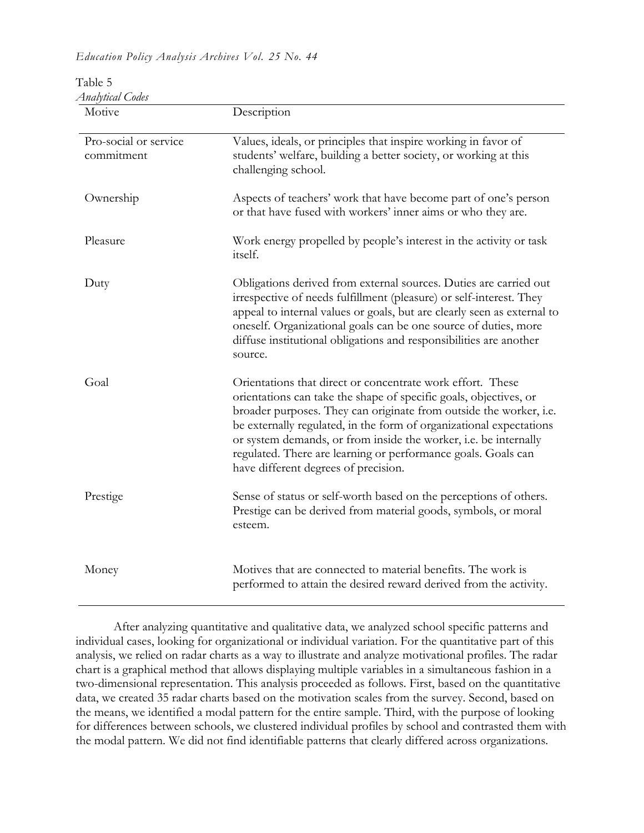*Education Policy Analysis Archives Vol. 25 No. 44*

| Motive                              | Description                                                                                                                                                                                                                                                                                                                                                                                                                                               |
|-------------------------------------|-----------------------------------------------------------------------------------------------------------------------------------------------------------------------------------------------------------------------------------------------------------------------------------------------------------------------------------------------------------------------------------------------------------------------------------------------------------|
| Pro-social or service<br>commitment | Values, ideals, or principles that inspire working in favor of<br>students' welfare, building a better society, or working at this<br>challenging school.                                                                                                                                                                                                                                                                                                 |
| Ownership                           | Aspects of teachers' work that have become part of one's person<br>or that have fused with workers' inner aims or who they are.                                                                                                                                                                                                                                                                                                                           |
| Pleasure                            | Work energy propelled by people's interest in the activity or task<br>itself.                                                                                                                                                                                                                                                                                                                                                                             |
| Duty                                | Obligations derived from external sources. Duties are carried out<br>irrespective of needs fulfillment (pleasure) or self-interest. They<br>appeal to internal values or goals, but are clearly seen as external to<br>oneself. Organizational goals can be one source of duties, more<br>diffuse institutional obligations and responsibilities are another<br>source.                                                                                   |
| Goal                                | Orientations that direct or concentrate work effort. These<br>orientations can take the shape of specific goals, objectives, or<br>broader purposes. They can originate from outside the worker, i.e.<br>be externally regulated, in the form of organizational expectations<br>or system demands, or from inside the worker, i.e. be internally<br>regulated. There are learning or performance goals. Goals can<br>have different degrees of precision. |
| Prestige                            | Sense of status or self-worth based on the perceptions of others.<br>Prestige can be derived from material goods, symbols, or moral<br>esteem.                                                                                                                                                                                                                                                                                                            |
| Money                               | Motives that are connected to material benefits. The work is<br>performed to attain the desired reward derived from the activity.                                                                                                                                                                                                                                                                                                                         |

| Table 5                 |
|-------------------------|
| <b>Analytical Codes</b> |

After analyzing quantitative and qualitative data, we analyzed school specific patterns and individual cases, looking for organizational or individual variation. For the quantitative part of this analysis, we relied on radar charts as a way to illustrate and analyze motivational profiles. The radar chart is a graphical method that allows displaying multiple variables in a simultaneous fashion in a two-dimensional representation. This analysis proceeded as follows. First, based on the quantitative data, we created 35 radar charts based on the motivation scales from the survey. Second, based on the means, we identified a modal pattern for the entire sample. Third, with the purpose of looking for differences between schools, we clustered individual profiles by school and contrasted them with the modal pattern. We did not find identifiable patterns that clearly differed across organizations.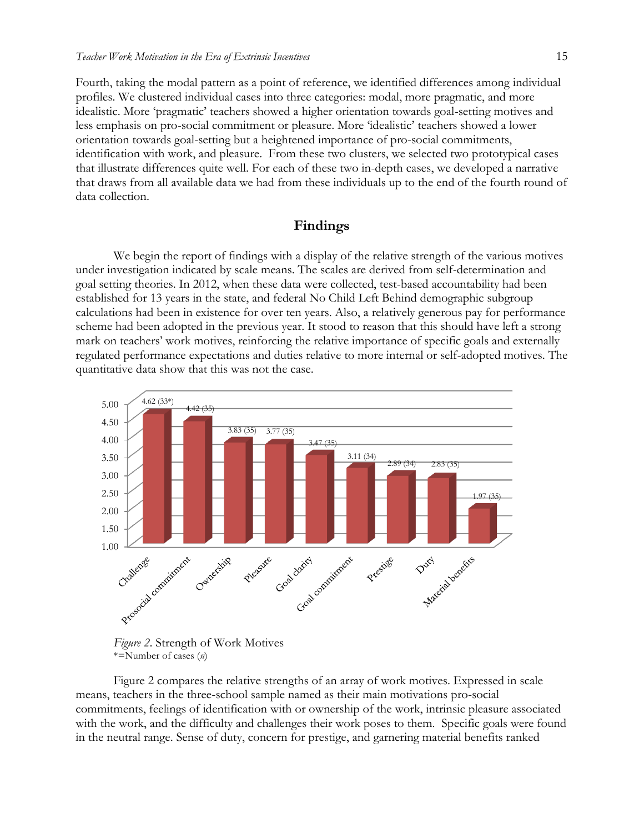Fourth, taking the modal pattern as a point of reference, we identified differences among individual profiles. We clustered individual cases into three categories: modal, more pragmatic, and more idealistic. More 'pragmatic' teachers showed a higher orientation towards goal-setting motives and less emphasis on pro-social commitment or pleasure. More 'idealistic' teachers showed a lower orientation towards goal-setting but a heightened importance of pro-social commitments, identification with work, and pleasure. From these two clusters, we selected two prototypical cases that illustrate differences quite well. For each of these two in-depth cases, we developed a narrative that draws from all available data we had from these individuals up to the end of the fourth round of data collection.

## **Findings**

We begin the report of findings with a display of the relative strength of the various motives under investigation indicated by scale means. The scales are derived from self-determination and goal setting theories. In 2012, when these data were collected, test-based accountability had been established for 13 years in the state, and federal No Child Left Behind demographic subgroup calculations had been in existence for over ten years. Also, a relatively generous pay for performance scheme had been adopted in the previous year. It stood to reason that this should have left a strong mark on teachers' work motives, reinforcing the relative importance of specific goals and externally regulated performance expectations and duties relative to more internal or self-adopted motives. The quantitative data show that this was not the case.





Figure 2 compares the relative strengths of an array of work motives. Expressed in scale means, teachers in the three-school sample named as their main motivations pro-social commitments, feelings of identification with or ownership of the work, intrinsic pleasure associated with the work, and the difficulty and challenges their work poses to them. Specific goals were found in the neutral range. Sense of duty, concern for prestige, and garnering material benefits ranked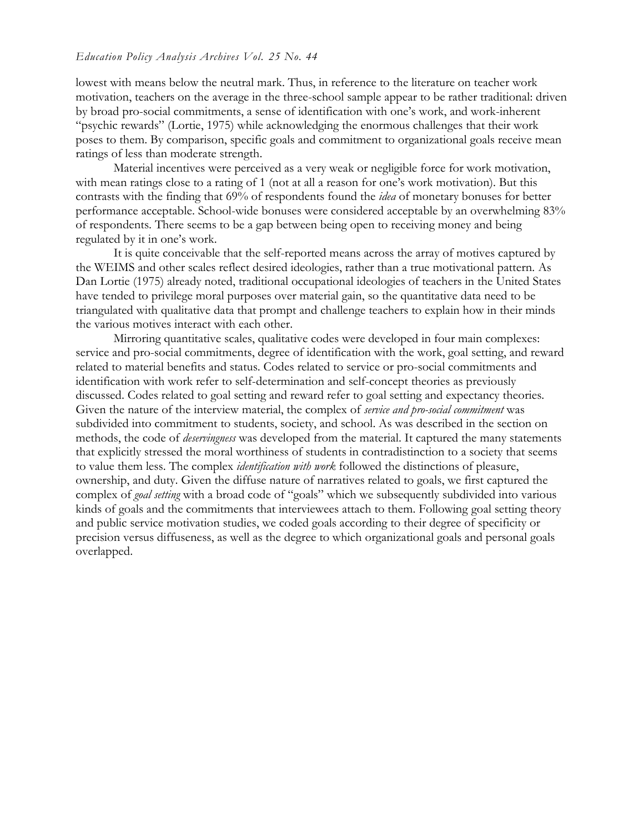#### *Education Policy Analysis Archives Vol. 25 No. 44*

lowest with means below the neutral mark. Thus, in reference to the literature on teacher work motivation, teachers on the average in the three-school sample appear to be rather traditional: driven by broad pro-social commitments, a sense of identification with one's work, and work-inherent "psychic rewards" (Lortie, 1975) while acknowledging the enormous challenges that their work poses to them. By comparison, specific goals and commitment to organizational goals receive mean ratings of less than moderate strength.

Material incentives were perceived as a very weak or negligible force for work motivation, with mean ratings close to a rating of 1 (not at all a reason for one's work motivation). But this contrasts with the finding that 69% of respondents found the *idea* of monetary bonuses for better performance acceptable. School-wide bonuses were considered acceptable by an overwhelming 83% of respondents. There seems to be a gap between being open to receiving money and being regulated by it in one's work.

It is quite conceivable that the self-reported means across the array of motives captured by the WEIMS and other scales reflect desired ideologies, rather than a true motivational pattern. As Dan Lortie (1975) already noted, traditional occupational ideologies of teachers in the United States have tended to privilege moral purposes over material gain, so the quantitative data need to be triangulated with qualitative data that prompt and challenge teachers to explain how in their minds the various motives interact with each other.

Mirroring quantitative scales, qualitative codes were developed in four main complexes: service and pro-social commitments, degree of identification with the work, goal setting, and reward related to material benefits and status. Codes related to service or pro-social commitments and identification with work refer to self-determination and self-concept theories as previously discussed. Codes related to goal setting and reward refer to goal setting and expectancy theories. Given the nature of the interview material, the complex of *service and pro-social commitment* was subdivided into commitment to students, society, and school. As was described in the section on methods, the code of *deservingness* was developed from the material. It captured the many statements that explicitly stressed the moral worthiness of students in contradistinction to a society that seems to value them less. The complex *identification with work* followed the distinctions of pleasure, ownership, and duty. Given the diffuse nature of narratives related to goals, we first captured the complex of *goal setting* with a broad code of "goals" which we subsequently subdivided into various kinds of goals and the commitments that interviewees attach to them. Following goal setting theory and public service motivation studies, we coded goals according to their degree of specificity or precision versus diffuseness, as well as the degree to which organizational goals and personal goals overlapped.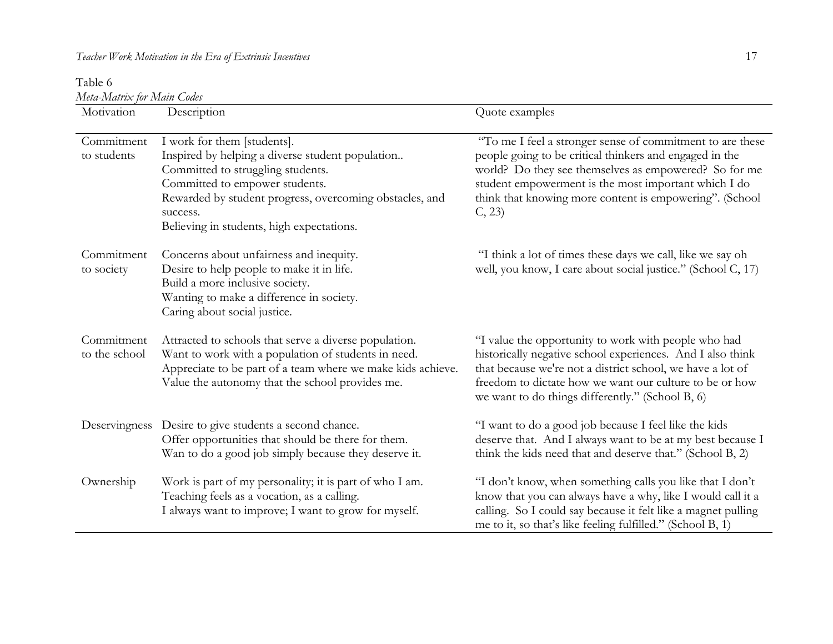Table 6 *Meta-Matrix for Main Codes*

| niin Inimiis joi Inimii Comos<br>Motivation | Description                                                                                                                                                                                                                                                                | Quote examples                                                                                                                                                                                                                                                                                            |
|---------------------------------------------|----------------------------------------------------------------------------------------------------------------------------------------------------------------------------------------------------------------------------------------------------------------------------|-----------------------------------------------------------------------------------------------------------------------------------------------------------------------------------------------------------------------------------------------------------------------------------------------------------|
| Commitment<br>to students                   | I work for them [students].<br>Inspired by helping a diverse student population<br>Committed to struggling students.<br>Committed to empower students.<br>Rewarded by student progress, overcoming obstacles, and<br>success.<br>Believing in students, high expectations. | "To me I feel a stronger sense of commitment to are these<br>people going to be critical thinkers and engaged in the<br>world? Do they see themselves as empowered? So for me<br>student empowerment is the most important which I do<br>think that knowing more content is empowering". (School<br>C, 23 |
| Commitment<br>to society                    | Concerns about unfairness and inequity.<br>Desire to help people to make it in life.<br>Build a more inclusive society.<br>Wanting to make a difference in society.<br>Caring about social justice.                                                                        | "I think a lot of times these days we call, like we say oh<br>well, you know, I care about social justice." (School C, 17)                                                                                                                                                                                |
| Commitment<br>to the school                 | Attracted to schools that serve a diverse population.<br>Want to work with a population of students in need.<br>Appreciate to be part of a team where we make kids achieve.<br>Value the autonomy that the school provides me.                                             | "I value the opportunity to work with people who had<br>historically negative school experiences. And I also think<br>that because we're not a district school, we have a lot of<br>freedom to dictate how we want our culture to be or how<br>we want to do things differently." (School B, 6)           |
|                                             | Deservingness Desire to give students a second chance.<br>Offer opportunities that should be there for them.<br>Wan to do a good job simply because they deserve it.                                                                                                       | "I want to do a good job because I feel like the kids<br>deserve that. And I always want to be at my best because I<br>think the kids need that and deserve that." (School B, 2)                                                                                                                          |
| Ownership                                   | Work is part of my personality; it is part of who I am.<br>Teaching feels as a vocation, as a calling.<br>I always want to improve; I want to grow for myself.                                                                                                             | "I don't know, when something calls you like that I don't<br>know that you can always have a why, like I would call it a<br>calling. So I could say because it felt like a magnet pulling<br>me to it, so that's like feeling fulfilled." (School B, 1)                                                   |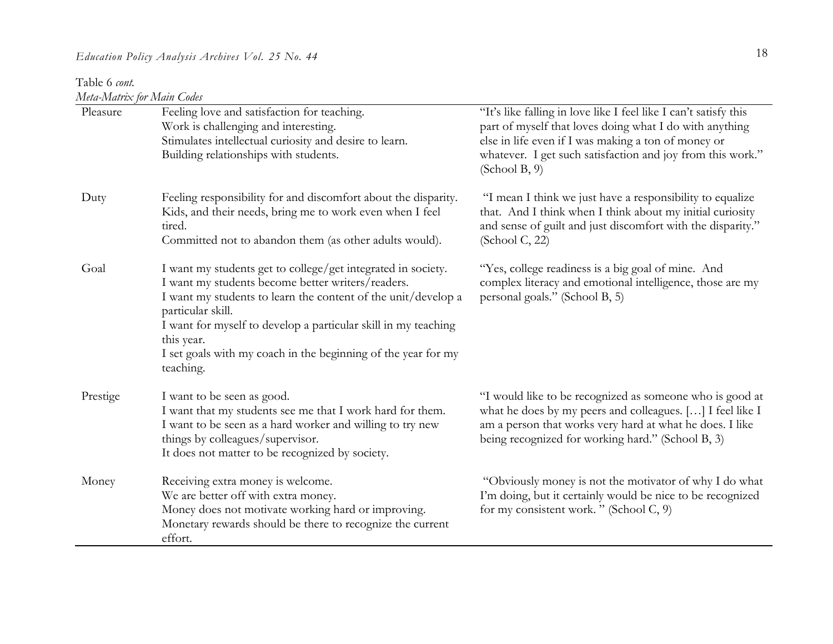Table 6 *cont. Meta-Matrix for Main Codes*

| Pleasure | Feeling love and satisfaction for teaching.<br>Work is challenging and interesting.<br>Stimulates intellectual curiosity and desire to learn.<br>Building relationships with students.                                                                                                                                                                                | "It's like falling in love like I feel like I can't satisfy this<br>part of myself that loves doing what I do with anything<br>else in life even if I was making a ton of money or<br>whatever. I get such satisfaction and joy from this work."<br>(School B, 9) |
|----------|-----------------------------------------------------------------------------------------------------------------------------------------------------------------------------------------------------------------------------------------------------------------------------------------------------------------------------------------------------------------------|-------------------------------------------------------------------------------------------------------------------------------------------------------------------------------------------------------------------------------------------------------------------|
| Duty     | Feeling responsibility for and discomfort about the disparity.<br>Kids, and their needs, bring me to work even when I feel<br>tired.<br>Committed not to abandon them (as other adults would).                                                                                                                                                                        | "I mean I think we just have a responsibility to equalize<br>that. And I think when I think about my initial curiosity<br>and sense of guilt and just discomfort with the disparity."<br>(School C, 22)                                                           |
| Goal     | I want my students get to college/get integrated in society.<br>I want my students become better writers/readers.<br>I want my students to learn the content of the unit/develop a<br>particular skill.<br>I want for myself to develop a particular skill in my teaching<br>this year.<br>I set goals with my coach in the beginning of the year for my<br>teaching. | "Yes, college readiness is a big goal of mine. And<br>complex literacy and emotional intelligence, those are my<br>personal goals." (School B, 5)                                                                                                                 |
| Prestige | I want to be seen as good.<br>I want that my students see me that I work hard for them.<br>I want to be seen as a hard worker and willing to try new<br>things by colleagues/supervisor.<br>It does not matter to be recognized by society.                                                                                                                           | "I would like to be recognized as someone who is good at<br>what he does by my peers and colleagues. [] I feel like I<br>am a person that works very hard at what he does. I like<br>being recognized for working hard." (School B, 3)                            |
| Money    | Receiving extra money is welcome.<br>We are better off with extra money.<br>Money does not motivate working hard or improving.<br>Monetary rewards should be there to recognize the current<br>effort.                                                                                                                                                                | "Obviously money is not the motivator of why I do what<br>I'm doing, but it certainly would be nice to be recognized<br>for my consistent work. " (School C, 9)                                                                                                   |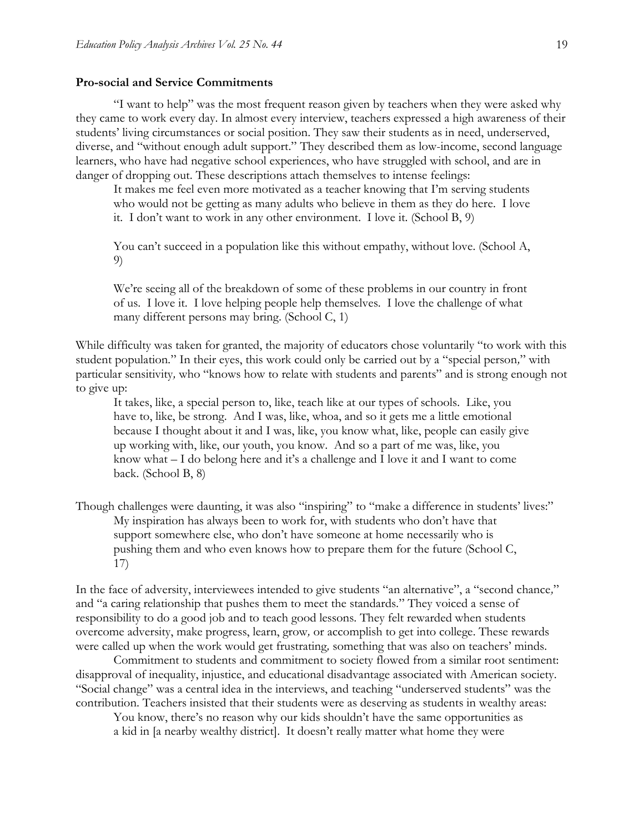#### **Pro-social and Service Commitments**

"I want to help" was the most frequent reason given by teachers when they were asked why they came to work every day. In almost every interview, teachers expressed a high awareness of their students' living circumstances or social position. They saw their students as in need, underserved, diverse, and "without enough adult support." They described them as low-income, second language learners, who have had negative school experiences, who have struggled with school, and are in danger of dropping out. These descriptions attach themselves to intense feelings:

It makes me feel even more motivated as a teacher knowing that I'm serving students who would not be getting as many adults who believe in them as they do here. I love it. I don't want to work in any other environment. I love it. (School B, 9)

You can't succeed in a population like this without empathy, without love. (School A, 9)

We're seeing all of the breakdown of some of these problems in our country in front of us. I love it. I love helping people help themselves. I love the challenge of what many different persons may bring. (School C, 1)

While difficulty was taken for granted, the majority of educators chose voluntarily "to work with this student population*.*" In their eyes, this work could only be carried out by a "special person*,*" with particular sensitivity*,* who "knows how to relate with students and parents" and is strong enough not to give up:

It takes, like, a special person to, like, teach like at our types of schools. Like, you have to, like, be strong. And I was, like, whoa, and so it gets me a little emotional because I thought about it and I was, like, you know what, like, people can easily give up working with, like, our youth, you know. And so a part of me was, like, you know what – I do belong here and it's a challenge and I love it and I want to come back. (School B, 8)

Though challenges were daunting, it was also "inspiring" to "make a difference in students' lives:" My inspiration has always been to work for, with students who don't have that support somewhere else, who don't have someone at home necessarily who is pushing them and who even knows how to prepare them for the future (School C, 17)

In the face of adversity, interviewees intended to give students "an alternative", a "second chance*,*" and "a caring relationship that pushes them to meet the standards*.*" They voiced a sense of responsibility to do a good job and to teach good lessons. They felt rewarded when students overcome adversity, make progress, learn, grow*,* or accomplish to get into college. These rewards were called up when the work would get frustrating*,* something that was also on teachers' minds.

Commitment to students and commitment to society flowed from a similar root sentiment: disapproval of inequality, injustice, and educational disadvantage associated with American society. "Social change" was a central idea in the interviews, and teaching "underserved students" was the contribution. Teachers insisted that their students were as deserving as students in wealthy areas:

You know, there's no reason why our kids shouldn't have the same opportunities as a kid in [a nearby wealthy district]. It doesn't really matter what home they were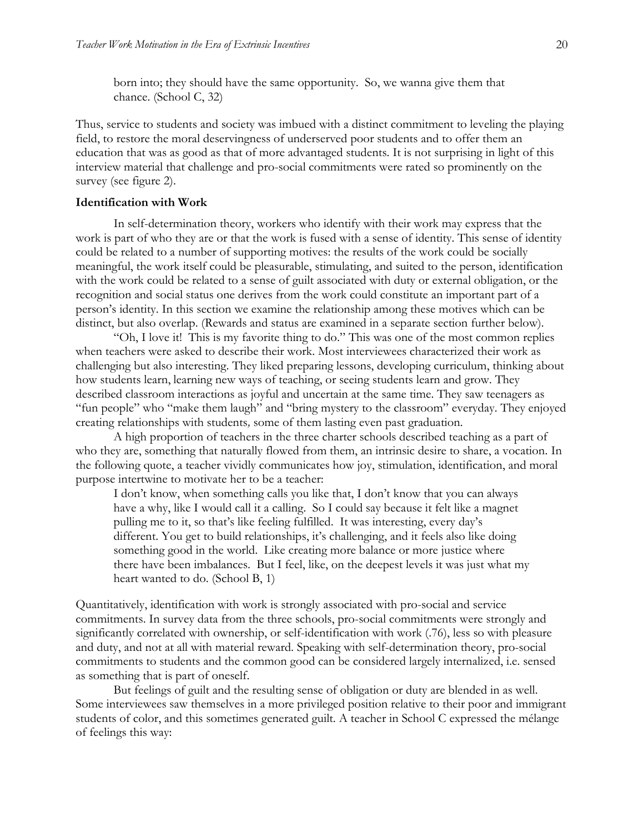born into; they should have the same opportunity. So, we wanna give them that chance. (School C, 32)

Thus, service to students and society was imbued with a distinct commitment to leveling the playing field, to restore the moral deservingness of underserved poor students and to offer them an education that was as good as that of more advantaged students. It is not surprising in light of this interview material that challenge and pro-social commitments were rated so prominently on the survey (see figure 2).

#### **Identification with Work**

In self-determination theory, workers who identify with their work may express that the work is part of who they are or that the work is fused with a sense of identity. This sense of identity could be related to a number of supporting motives: the results of the work could be socially meaningful, the work itself could be pleasurable, stimulating, and suited to the person, identification with the work could be related to a sense of guilt associated with duty or external obligation, or the recognition and social status one derives from the work could constitute an important part of a person's identity. In this section we examine the relationship among these motives which can be distinct, but also overlap. (Rewards and status are examined in a separate section further below).

"Oh, I love it! This is my favorite thing to do." This was one of the most common replies when teachers were asked to describe their work. Most interviewees characterized their work as challenging but also interesting. They liked preparing lessons, developing curriculum, thinking about how students learn, learning new ways of teaching, or seeing students learn and grow. They described classroom interactions as joyful and uncertain at the same time. They saw teenagers as "fun people" who "make them laugh" and "bring mystery to the classroom" everyday. They enjoyed creating relationships with students*,* some of them lasting even past graduation.

A high proportion of teachers in the three charter schools described teaching as a part of who they are, something that naturally flowed from them, an intrinsic desire to share, a vocation. In the following quote, a teacher vividly communicates how joy, stimulation, identification, and moral purpose intertwine to motivate her to be a teacher:

I don't know, when something calls you like that, I don't know that you can always have a why, like I would call it a calling. So I could say because it felt like a magnet pulling me to it, so that's like feeling fulfilled. It was interesting, every day's different. You get to build relationships, it's challenging, and it feels also like doing something good in the world. Like creating more balance or more justice where there have been imbalances. But I feel, like, on the deepest levels it was just what my heart wanted to do. (School B, 1)

Quantitatively, identification with work is strongly associated with pro-social and service commitments. In survey data from the three schools, pro-social commitments were strongly and significantly correlated with ownership, or self-identification with work (.76), less so with pleasure and duty, and not at all with material reward. Speaking with self-determination theory, pro-social commitments to students and the common good can be considered largely internalized, i.e. sensed as something that is part of oneself.

But feelings of guilt and the resulting sense of obligation or duty are blended in as well. Some interviewees saw themselves in a more privileged position relative to their poor and immigrant students of color, and this sometimes generated guilt. A teacher in School C expressed the mélange of feelings this way: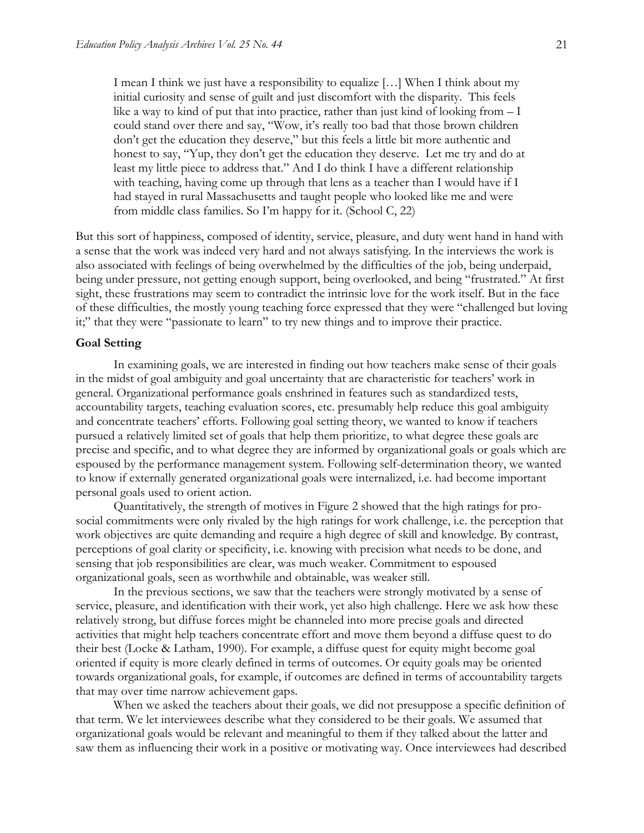I mean I think we just have a responsibility to equalize […] When I think about my initial curiosity and sense of guilt and just discomfort with the disparity. This feels like a way to kind of put that into practice, rather than just kind of looking from  $-1$ could stand over there and say, "Wow, it's really too bad that those brown children don't get the education they deserve," but this feels a little bit more authentic and honest to say, "Yup, they don't get the education they deserve. Let me try and do at least my little piece to address that." And I do think I have a different relationship with teaching, having come up through that lens as a teacher than I would have if I had stayed in rural Massachusetts and taught people who looked like me and were from middle class families. So I'm happy for it. (School C, 22)

But this sort of happiness, composed of identity, service, pleasure, and duty went hand in hand with a sense that the work was indeed very hard and not always satisfying. In the interviews the work is also associated with feelings of being overwhelmed by the difficulties of the job, being underpaid, being under pressure, not getting enough support, being overlooked, and being "frustrated." At first sight, these frustrations may seem to contradict the intrinsic love for the work itself. But in the face of these difficulties, the mostly young teaching force expressed that they were "challenged but loving it;" that they were "passionate to learn" to try new things and to improve their practice.

#### **Goal Setting**

In examining goals, we are interested in finding out how teachers make sense of their goals in the midst of goal ambiguity and goal uncertainty that are characteristic for teachers' work in general. Organizational performance goals enshrined in features such as standardized tests, accountability targets, teaching evaluation scores, etc. presumably help reduce this goal ambiguity and concentrate teachers' efforts. Following goal setting theory, we wanted to know if teachers pursued a relatively limited set of goals that help them prioritize, to what degree these goals are precise and specific, and to what degree they are informed by organizational goals or goals which are espoused by the performance management system. Following self-determination theory, we wanted to know if externally generated organizational goals were internalized, i.e. had become important personal goals used to orient action.

Quantitatively, the strength of motives in Figure 2 showed that the high ratings for prosocial commitments were only rivaled by the high ratings for work challenge, i.e. the perception that work objectives are quite demanding and require a high degree of skill and knowledge. By contrast, perceptions of goal clarity or specificity, i.e. knowing with precision what needs to be done, and sensing that job responsibilities are clear, was much weaker. Commitment to espoused organizational goals, seen as worthwhile and obtainable, was weaker still.

In the previous sections, we saw that the teachers were strongly motivated by a sense of service, pleasure, and identification with their work, yet also high challenge. Here we ask how these relatively strong, but diffuse forces might be channeled into more precise goals and directed activities that might help teachers concentrate effort and move them beyond a diffuse quest to do their best (Locke & Latham, 1990). For example, a diffuse quest for equity might become goal oriented if equity is more clearly defined in terms of outcomes. Or equity goals may be oriented towards organizational goals, for example, if outcomes are defined in terms of accountability targets that may over time narrow achievement gaps.

When we asked the teachers about their goals, we did not presuppose a specific definition of that term. We let interviewees describe what they considered to be their goals. We assumed that organizational goals would be relevant and meaningful to them if they talked about the latter and saw them as influencing their work in a positive or motivating way. Once interviewees had described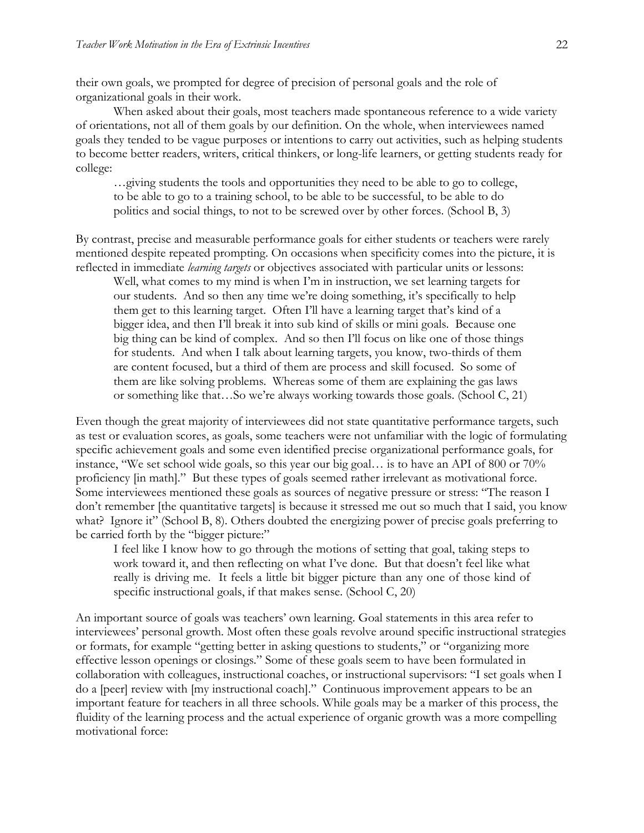their own goals, we prompted for degree of precision of personal goals and the role of organizational goals in their work.

When asked about their goals, most teachers made spontaneous reference to a wide variety of orientations, not all of them goals by our definition. On the whole, when interviewees named goals they tended to be vague purposes or intentions to carry out activities, such as helping students to become better readers, writers, critical thinkers, or long-life learners, or getting students ready for college:

…giving students the tools and opportunities they need to be able to go to college, to be able to go to a training school, to be able to be successful, to be able to do politics and social things, to not to be screwed over by other forces. (School B, 3)

By contrast, precise and measurable performance goals for either students or teachers were rarely mentioned despite repeated prompting. On occasions when specificity comes into the picture, it is reflected in immediate *learning targets* or objectives associated with particular units or lessons:

Well, what comes to my mind is when I'm in instruction, we set learning targets for our students. And so then any time we're doing something, it's specifically to help them get to this learning target. Often I'll have a learning target that's kind of a bigger idea, and then I'll break it into sub kind of skills or mini goals. Because one big thing can be kind of complex. And so then I'll focus on like one of those things for students. And when I talk about learning targets, you know, two-thirds of them are content focused, but a third of them are process and skill focused. So some of them are like solving problems. Whereas some of them are explaining the gas laws or something like that…So we're always working towards those goals. (School C, 21)

Even though the great majority of interviewees did not state quantitative performance targets, such as test or evaluation scores, as goals, some teachers were not unfamiliar with the logic of formulating specific achievement goals and some even identified precise organizational performance goals, for instance, "We set school wide goals, so this year our big goal… is to have an API of 800 or 70% proficiency [in math]." But these types of goals seemed rather irrelevant as motivational force. Some interviewees mentioned these goals as sources of negative pressure or stress: "The reason I don't remember [the quantitative targets] is because it stressed me out so much that I said, you know what? Ignore it" (School B, 8). Others doubted the energizing power of precise goals preferring to be carried forth by the "bigger picture:"

I feel like I know how to go through the motions of setting that goal, taking steps to work toward it, and then reflecting on what I've done. But that doesn't feel like what really is driving me. It feels a little bit bigger picture than any one of those kind of specific instructional goals, if that makes sense. (School C, 20)

An important source of goals was teachers' own learning. Goal statements in this area refer to interviewees' personal growth. Most often these goals revolve around specific instructional strategies or formats, for example "getting better in asking questions to students," or "organizing more effective lesson openings or closings." Some of these goals seem to have been formulated in collaboration with colleagues, instructional coaches, or instructional supervisors: "I set goals when I do a [peer] review with [my instructional coach]." Continuous improvement appears to be an important feature for teachers in all three schools. While goals may be a marker of this process, the fluidity of the learning process and the actual experience of organic growth was a more compelling motivational force: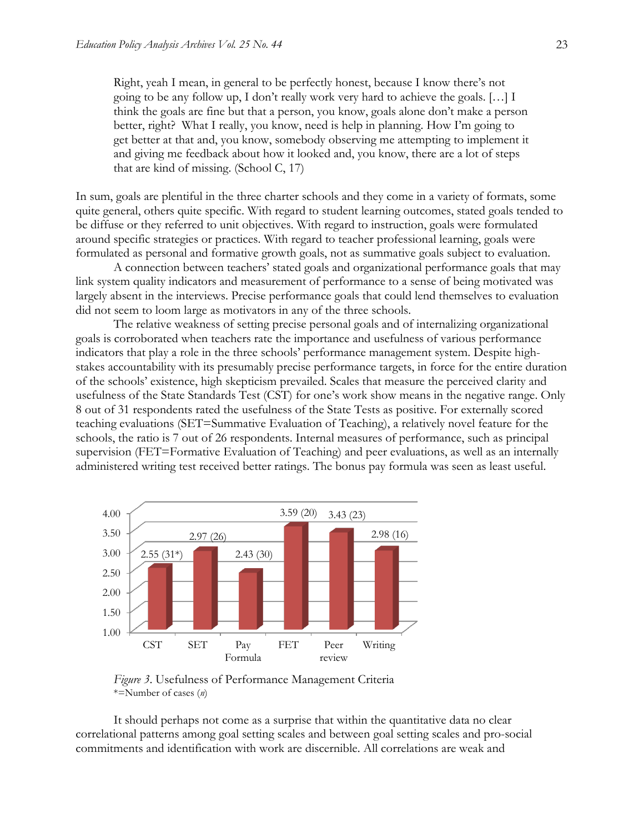Right, yeah I mean, in general to be perfectly honest, because I know there's not going to be any follow up, I don't really work very hard to achieve the goals. […] I think the goals are fine but that a person, you know, goals alone don't make a person better, right? What I really, you know, need is help in planning. How I'm going to get better at that and, you know, somebody observing me attempting to implement it and giving me feedback about how it looked and, you know, there are a lot of steps that are kind of missing. (School C, 17)

In sum, goals are plentiful in the three charter schools and they come in a variety of formats, some quite general, others quite specific. With regard to student learning outcomes, stated goals tended to be diffuse or they referred to unit objectives. With regard to instruction, goals were formulated around specific strategies or practices. With regard to teacher professional learning, goals were formulated as personal and formative growth goals, not as summative goals subject to evaluation.

A connection between teachers' stated goals and organizational performance goals that may link system quality indicators and measurement of performance to a sense of being motivated was largely absent in the interviews. Precise performance goals that could lend themselves to evaluation did not seem to loom large as motivators in any of the three schools.

The relative weakness of setting precise personal goals and of internalizing organizational goals is corroborated when teachers rate the importance and usefulness of various performance indicators that play a role in the three schools' performance management system. Despite highstakes accountability with its presumably precise performance targets, in force for the entire duration of the schools' existence, high skepticism prevailed. Scales that measure the perceived clarity and usefulness of the State Standards Test (CST) for one's work show means in the negative range. Only 8 out of 31 respondents rated the usefulness of the State Tests as positive. For externally scored teaching evaluations (SET=Summative Evaluation of Teaching), a relatively novel feature for the schools, the ratio is 7 out of 26 respondents. Internal measures of performance, such as principal supervision (FET=Formative Evaluation of Teaching) and peer evaluations, as well as an internally administered writing test received better ratings. The bonus pay formula was seen as least useful.



*Figure 3*. Usefulness of Performance Management Criteria \*=Number of cases (*n*)

It should perhaps not come as a surprise that within the quantitative data no clear correlational patterns among goal setting scales and between goal setting scales and pro-social commitments and identification with work are discernible. All correlations are weak and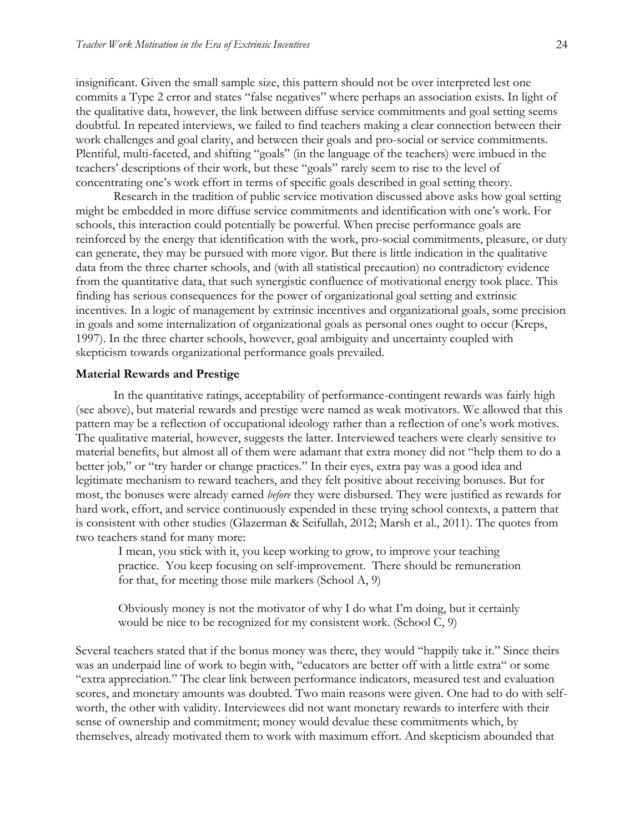insignificant. Given the small sample size, this pattern should not be over interpreted lest one commits a Type 2 error and states "false negatives" where perhaps an association exists. In light of the qualitative data, however, the link between diffuse service commitments and goal setting seems doubtful. In repeated interviews, we failed to find teachers making a clear connection between their work challenges and goal clarity, and between their goals and pro-social or service commitments. Plentiful, multi-faceted, and shifting "goals" (in the language of the teachers) were imbued in the teachers' descriptions of their work, but these "goals" rarely seem to rise to the level of concentrating one's work effort in terms of specific goals described in goal setting theory.

Research in the tradition of public service motivation discussed above asks how goal setting might be embedded in more diffuse service commitments and identification with one's work. For schools, this interaction could potentially be powerful. When precise performance goals are reinforced by the energy that identification with the work, pro-social commitments, pleasure, or duty can generate, they may be pursued with more vigor. But there is little indication in the qualitative data from the three charter schools, and (with all statistical precaution) no contradictory evidence from the quantitative data, that such synergistic confluence of motivational energy took place. This finding has serious consequences for the power of organizational goal setting and extrinsic incentives. In a logic of management by extrinsic incentives and organizational goals, some precision in goals and some internalization of organizational goals as personal ones ought to occur (Kreps, 1997). In the three charter schools, however, goal ambiguity and uncertainty coupled with skepticism towards organizational performance goals prevailed.

#### **Material Rewards and Prestige**

In the quantitative ratings, acceptability of performance-contingent rewards was fairly high (see above), but material rewards and prestige were named as weak motivators. We allowed that this pattern may be a reflection of occupational ideology rather than a reflection of one's work motives. The qualitative material, however, suggests the latter. Interviewed teachers were clearly sensitive to material benefits, but almost all of them were adamant that extra money did not "help them to do a better job*,*" or "try harder or change practices." In their eyes, extra pay was a good idea and legitimate mechanism to reward teachers, and they felt positive about receiving bonuses. But for most, the bonuses were already earned *before* they were disbursed. They were justified as rewards for hard work, effort, and service continuously expended in these trying school contexts, a pattern that is consistent with other studies (Glazerman & Seifullah, 2012; Marsh et al., 2011). The quotes from two teachers stand for many more:

I mean, you stick with it, you keep working to grow, to improve your teaching practice. You keep focusing on self-improvement. There should be remuneration for that, for meeting those mile markers (School A, 9)

Obviously money is not the motivator of why I do what I'm doing, but it certainly would be nice to be recognized for my consistent work. (School C, 9)

Several teachers stated that if the bonus money was there, they would "happily take it." Since theirs was an underpaid line of work to begin with, "educators are better off with a little extra" or some "extra appreciation." The clear link between performance indicators, measured test and evaluation scores, and monetary amounts was doubted. Two main reasons were given. One had to do with selfworth, the other with validity. Interviewees did not want monetary rewards to interfere with their sense of ownership and commitment; money would devalue these commitments which, by themselves, already motivated them to work with maximum effort. And skepticism abounded that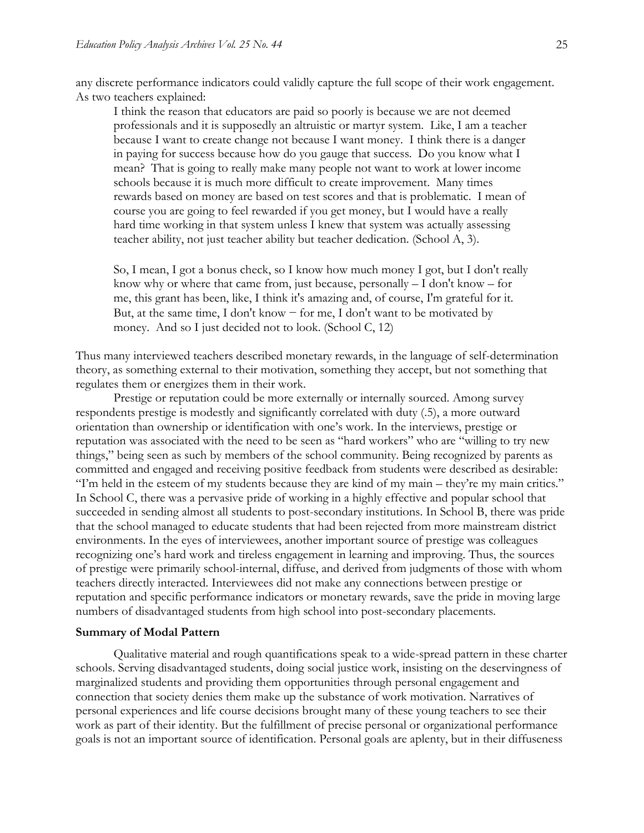any discrete performance indicators could validly capture the full scope of their work engagement. As two teachers explained:

I think the reason that educators are paid so poorly is because we are not deemed professionals and it is supposedly an altruistic or martyr system. Like, I am a teacher because I want to create change not because I want money. I think there is a danger in paying for success because how do you gauge that success. Do you know what I mean? That is going to really make many people not want to work at lower income schools because it is much more difficult to create improvement. Many times rewards based on money are based on test scores and that is problematic. I mean of course you are going to feel rewarded if you get money, but I would have a really hard time working in that system unless I knew that system was actually assessing teacher ability, not just teacher ability but teacher dedication. (School A, 3).

So, I mean, I got a bonus check, so I know how much money I got, but I don't really know why or where that came from, just because, personally – I don't know – for me, this grant has been, like, I think it's amazing and, of course, I'm grateful for it. But, at the same time, I don't know  $-$  for me, I don't want to be motivated by money. And so I just decided not to look. (School C, 12)

Thus many interviewed teachers described monetary rewards, in the language of self-determination theory, as something external to their motivation, something they accept, but not something that regulates them or energizes them in their work.

Prestige or reputation could be more externally or internally sourced. Among survey respondents prestige is modestly and significantly correlated with duty (.5), a more outward orientation than ownership or identification with one's work. In the interviews, prestige or reputation was associated with the need to be seen as "hard workers" who are "willing to try new things," being seen as such by members of the school community. Being recognized by parents as committed and engaged and receiving positive feedback from students were described as desirable: "I'm held in the esteem of my students because they are kind of my main – they're my main critics." In School C, there was a pervasive pride of working in a highly effective and popular school that succeeded in sending almost all students to post-secondary institutions. In School B, there was pride that the school managed to educate students that had been rejected from more mainstream district environments. In the eyes of interviewees, another important source of prestige was colleagues recognizing one's hard work and tireless engagement in learning and improving. Thus, the sources of prestige were primarily school-internal, diffuse, and derived from judgments of those with whom teachers directly interacted. Interviewees did not make any connections between prestige or reputation and specific performance indicators or monetary rewards, save the pride in moving large numbers of disadvantaged students from high school into post-secondary placements.

#### **Summary of Modal Pattern**

Qualitative material and rough quantifications speak to a wide-spread pattern in these charter schools. Serving disadvantaged students, doing social justice work, insisting on the deservingness of marginalized students and providing them opportunities through personal engagement and connection that society denies them make up the substance of work motivation. Narratives of personal experiences and life course decisions brought many of these young teachers to see their work as part of their identity. But the fulfillment of precise personal or organizational performance goals is not an important source of identification. Personal goals are aplenty, but in their diffuseness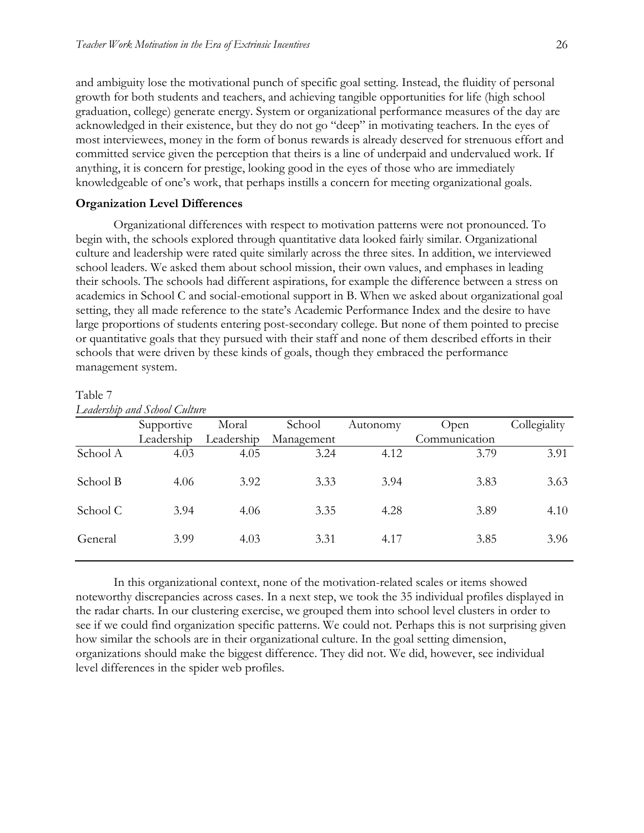and ambiguity lose the motivational punch of specific goal setting. Instead, the fluidity of personal growth for both students and teachers, and achieving tangible opportunities for life (high school graduation, college) generate energy. System or organizational performance measures of the day are acknowledged in their existence, but they do not go "deep" in motivating teachers. In the eyes of most interviewees, money in the form of bonus rewards is already deserved for strenuous effort and committed service given the perception that theirs is a line of underpaid and undervalued work. If anything, it is concern for prestige, looking good in the eyes of those who are immediately knowledgeable of one's work, that perhaps instills a concern for meeting organizational goals.

#### **Organization Level Differences**

Organizational differences with respect to motivation patterns were not pronounced. To begin with, the schools explored through quantitative data looked fairly similar. Organizational culture and leadership were rated quite similarly across the three sites. In addition, we interviewed school leaders. We asked them about school mission, their own values, and emphases in leading their schools. The schools had different aspirations, for example the difference between a stress on academics in School C and social-emotional support in B. When we asked about organizational goal setting, they all made reference to the state's Academic Performance Index and the desire to have large proportions of students entering post-secondary college. But none of them pointed to precise or quantitative goals that they pursued with their staff and none of them described efforts in their schools that were driven by these kinds of goals, though they embraced the performance management system.

| Supportive | Moral      | School     | Autonomy | Open          | Collegiality |
|------------|------------|------------|----------|---------------|--------------|
| Leadership | Leadership | Management |          | Communication |              |
| 4.03       | 4.05       | 3.24       | 4.12     | 3.79          | 3.91         |
| 4.06       | 3.92       | 3.33       | 3.94     | 3.83          | 3.63         |
| 3.94       | 4.06       | 3.35       | 4.28     | 3.89          | 4.10         |
| 3.99       | 4.03       | 3.31       | 4.17     | 3.85          | 3.96         |
|            |            |            |          |               |              |

Table 7 *Leadership and School Culture*

In this organizational context, none of the motivation-related scales or items showed noteworthy discrepancies across cases. In a next step, we took the 35 individual profiles displayed in the radar charts. In our clustering exercise, we grouped them into school level clusters in order to see if we could find organization specific patterns. We could not. Perhaps this is not surprising given how similar the schools are in their organizational culture. In the goal setting dimension, organizations should make the biggest difference. They did not. We did, however, see individual level differences in the spider web profiles.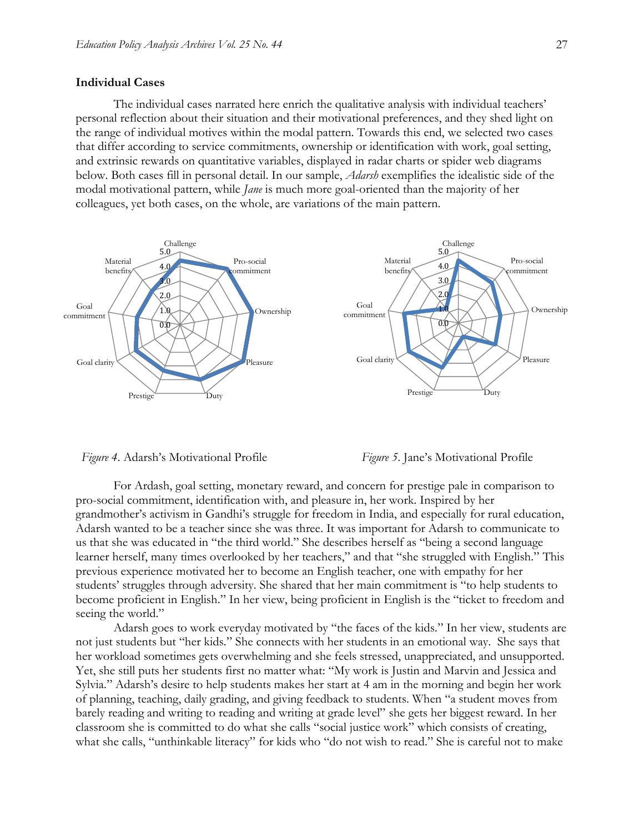#### **Individual Cases**

The individual cases narrated here enrich the qualitative analysis with individual teachers' personal reflection about their situation and their motivational preferences, and they shed light on the range of individual motives within the modal pattern. Towards this end, we selected two cases that differ according to service commitments, ownership or identification with work, goal setting, and extrinsic rewards on quantitative variables, displayed in radar charts or spider web diagrams below. Both cases fill in personal detail. In our sample, *Adarsh* exemplifies the idealistic side of the modal motivational pattern, while *Jane* is much more goal-oriented than the majority of her colleagues, yet both cases, on the whole, are variations of the main pattern.





For Ardash, goal setting, monetary reward, and concern for prestige pale in comparison to pro-social commitment, identification with, and pleasure in, her work. Inspired by her grandmother's activism in Gandhi's struggle for freedom in India, and especially for rural education, Adarsh wanted to be a teacher since she was three. It was important for Adarsh to communicate to us that she was educated in "the third world." She describes herself as "being a second language learner herself, many times overlooked by her teachers," and that "she struggled with English." This previous experience motivated her to become an English teacher, one with empathy for her students' struggles through adversity. She shared that her main commitment is "to help students to become proficient in English." In her view, being proficient in English is the "ticket to freedom and seeing the world."

Adarsh goes to work everyday motivated by "the faces of the kids*.*" In her view, students are not just students but "her kids*.*" She connects with her students in an emotional way. She says that her workload sometimes gets overwhelming and she feels stressed, unappreciated, and unsupported. Yet, she still puts her students first no matter what: "My work is Justin and Marvin and Jessica and Sylvia*.*" Adarsh's desire to help students makes her start at 4 am in the morning and begin her work of planning, teaching, daily grading, and giving feedback to students. When "a student moves from barely reading and writing to reading and writing at grade level" she gets her biggest reward. In her classroom she is committed to do what she calls "social justice work" which consists of creating, what she calls, "unthinkable literacy" for kids who "do not wish to read." She is careful not to make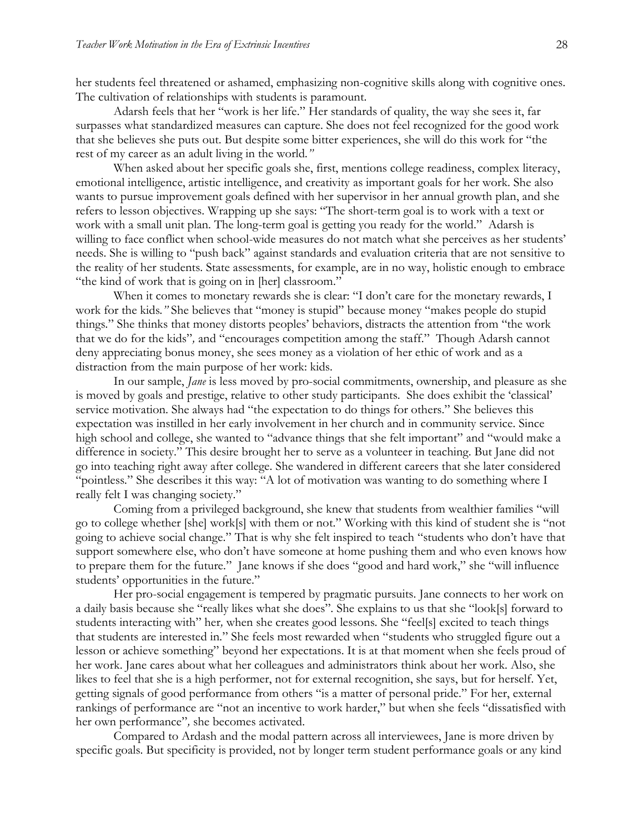her students feel threatened or ashamed, emphasizing non-cognitive skills along with cognitive ones. The cultivation of relationships with students is paramount.

Adarsh feels that her "work is her life." Her standards of quality, the way she sees it, far surpasses what standardized measures can capture. She does not feel recognized for the good work that she believes she puts out. But despite some bitter experiences, she will do this work for "the rest of my career as an adult living in the world*."*

When asked about her specific goals she, first, mentions college readiness, complex literacy, emotional intelligence, artistic intelligence, and creativity as important goals for her work. She also wants to pursue improvement goals defined with her supervisor in her annual growth plan, and she refers to lesson objectives. Wrapping up she says: "The short-term goal is to work with a text or work with a small unit plan. The long-term goal is getting you ready for the world." Adarsh is willing to face conflict when school-wide measures do not match what she perceives as her students' needs. She is willing to "push back" against standards and evaluation criteria that are not sensitive to the reality of her students. State assessments, for example, are in no way, holistic enough to embrace "the kind of work that is going on in [her] classroom."

When it comes to monetary rewards she is clear: "I don't care for the monetary rewards, I work for the kids*."* She believes that "money is stupid" because money "makes people do stupid things*.*" She thinks that money distorts peoples' behaviors, distracts the attention from "the work that we do for the kids"*,* and "encourages competition among the staff." Though Adarsh cannot deny appreciating bonus money, she sees money as a violation of her ethic of work and as a distraction from the main purpose of her work: kids.

In our sample, *Jane* is less moved by pro-social commitments, ownership, and pleasure as she is moved by goals and prestige, relative to other study participants. She does exhibit the 'classical' service motivation. She always had "the expectation to do things for others." She believes this expectation was instilled in her early involvement in her church and in community service. Since high school and college, she wanted to "advance things that she felt important" and "would make a difference in society." This desire brought her to serve as a volunteer in teaching. But Jane did not go into teaching right away after college. She wandered in different careers that she later considered "pointless*.*" She describes it this way: "A lot of motivation was wanting to do something where I really felt I was changing society."

Coming from a privileged background, she knew that students from wealthier families "will go to college whether [she] work[s] with them or not." Working with this kind of student she is "not going to achieve social change." That is why she felt inspired to teach "students who don't have that support somewhere else, who don't have someone at home pushing them and who even knows how to prepare them for the future." Jane knows if she does "good and hard work," she "will influence students' opportunities in the future."

Her pro-social engagement is tempered by pragmatic pursuits. Jane connects to her work on a daily basis because she "really likes what she does"*.* She explains to us that she "look[s] forward to students interacting with" her*,* when she creates good lessons*.* She "feel[s] excited to teach things that students are interested in*.*" She feels most rewarded when "students who struggled figure out a lesson or achieve something" beyond her expectations. It is at that moment when she feels proud of her work. Jane cares about what her colleagues and administrators think about her work. Also, she likes to feel that she is a high performer, not for external recognition, she says, but for herself. Yet, getting signals of good performance from others "is a matter of personal pride." For her, external rankings of performance are "not an incentive to work harder," but when she feels "dissatisfied with her own performance"*,* she becomes activated.

Compared to Ardash and the modal pattern across all interviewees, Jane is more driven by specific goals. But specificity is provided, not by longer term student performance goals or any kind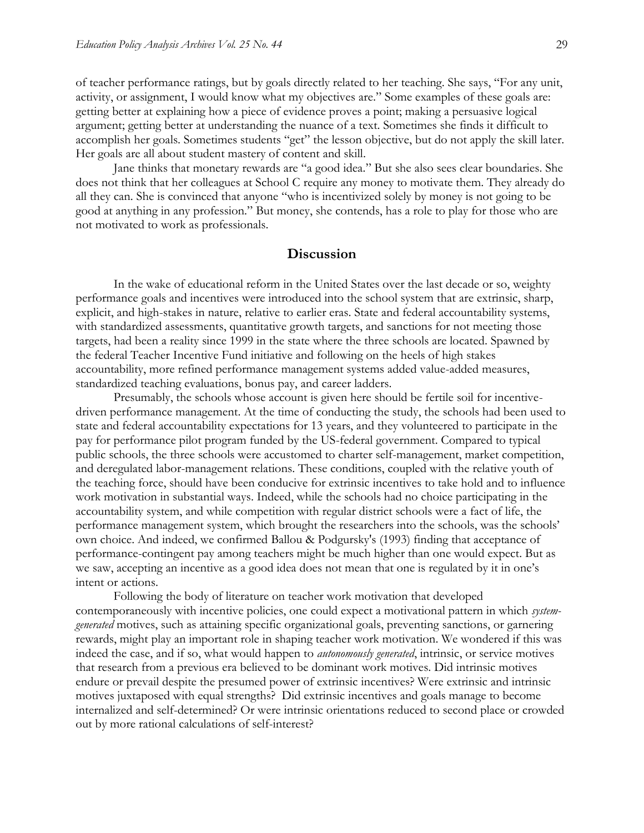of teacher performance ratings, but by goals directly related to her teaching. She says, "For any unit, activity, or assignment, I would know what my objectives are." Some examples of these goals are: getting better at explaining how a piece of evidence proves a point; making a persuasive logical argument; getting better at understanding the nuance of a text. Sometimes she finds it difficult to accomplish her goals. Sometimes students "get" the lesson objective, but do not apply the skill later. Her goals are all about student mastery of content and skill.

Jane thinks that monetary rewards are "a good idea*.*" But she also sees clear boundaries. She does not think that her colleagues at School C require any money to motivate them. They already do all they can. She is convinced that anyone "who is incentivized solely by money is not going to be good at anything in any profession." But money, she contends, has a role to play for those who are not motivated to work as professionals.

## **Discussion**

In the wake of educational reform in the United States over the last decade or so, weighty performance goals and incentives were introduced into the school system that are extrinsic, sharp, explicit, and high-stakes in nature, relative to earlier eras. State and federal accountability systems, with standardized assessments, quantitative growth targets, and sanctions for not meeting those targets, had been a reality since 1999 in the state where the three schools are located. Spawned by the federal Teacher Incentive Fund initiative and following on the heels of high stakes accountability, more refined performance management systems added value-added measures, standardized teaching evaluations, bonus pay, and career ladders.

Presumably, the schools whose account is given here should be fertile soil for incentivedriven performance management. At the time of conducting the study, the schools had been used to state and federal accountability expectations for 13 years, and they volunteered to participate in the pay for performance pilot program funded by the US-federal government. Compared to typical public schools, the three schools were accustomed to charter self-management, market competition, and deregulated labor-management relations. These conditions, coupled with the relative youth of the teaching force, should have been conducive for extrinsic incentives to take hold and to influence work motivation in substantial ways. Indeed, while the schools had no choice participating in the accountability system, and while competition with regular district schools were a fact of life, the performance management system, which brought the researchers into the schools, was the schools' own choice. And indeed, we confirmed Ballou & Podgursky's (1993) finding that acceptance of performance-contingent pay among teachers might be much higher than one would expect. But as we saw, accepting an incentive as a good idea does not mean that one is regulated by it in one's intent or actions.

Following the body of literature on teacher work motivation that developed contemporaneously with incentive policies, one could expect a motivational pattern in which *systemgenerated* motives, such as attaining specific organizational goals, preventing sanctions, or garnering rewards, might play an important role in shaping teacher work motivation. We wondered if this was indeed the case, and if so, what would happen to *autonomously generated*, intrinsic, or service motives that research from a previous era believed to be dominant work motives. Did intrinsic motives endure or prevail despite the presumed power of extrinsic incentives? Were extrinsic and intrinsic motives juxtaposed with equal strengths? Did extrinsic incentives and goals manage to become internalized and self-determined? Or were intrinsic orientations reduced to second place or crowded out by more rational calculations of self-interest?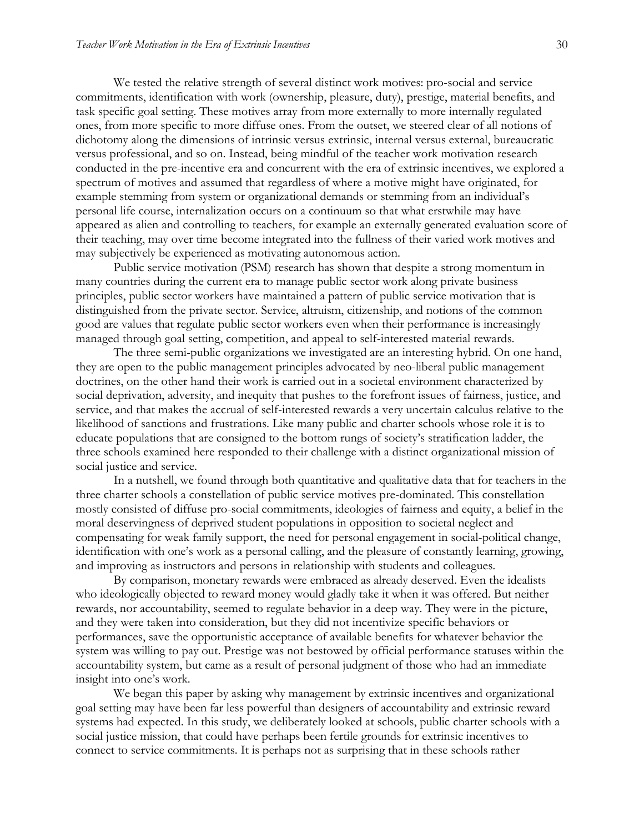We tested the relative strength of several distinct work motives: pro-social and service commitments, identification with work (ownership, pleasure, duty), prestige, material benefits, and task specific goal setting. These motives array from more externally to more internally regulated ones, from more specific to more diffuse ones. From the outset, we steered clear of all notions of dichotomy along the dimensions of intrinsic versus extrinsic, internal versus external, bureaucratic versus professional, and so on. Instead, being mindful of the teacher work motivation research conducted in the pre-incentive era and concurrent with the era of extrinsic incentives, we explored a spectrum of motives and assumed that regardless of where a motive might have originated, for example stemming from system or organizational demands or stemming from an individual's personal life course, internalization occurs on a continuum so that what erstwhile may have appeared as alien and controlling to teachers, for example an externally generated evaluation score of their teaching, may over time become integrated into the fullness of their varied work motives and may subjectively be experienced as motivating autonomous action.

Public service motivation (PSM) research has shown that despite a strong momentum in many countries during the current era to manage public sector work along private business principles, public sector workers have maintained a pattern of public service motivation that is distinguished from the private sector. Service, altruism, citizenship, and notions of the common good are values that regulate public sector workers even when their performance is increasingly managed through goal setting, competition, and appeal to self-interested material rewards.

The three semi-public organizations we investigated are an interesting hybrid. On one hand, they are open to the public management principles advocated by neo-liberal public management doctrines, on the other hand their work is carried out in a societal environment characterized by social deprivation, adversity, and inequity that pushes to the forefront issues of fairness, justice, and service, and that makes the accrual of self-interested rewards a very uncertain calculus relative to the likelihood of sanctions and frustrations. Like many public and charter schools whose role it is to educate populations that are consigned to the bottom rungs of society's stratification ladder, the three schools examined here responded to their challenge with a distinct organizational mission of social justice and service.

In a nutshell, we found through both quantitative and qualitative data that for teachers in the three charter schools a constellation of public service motives pre-dominated. This constellation mostly consisted of diffuse pro-social commitments, ideologies of fairness and equity, a belief in the moral deservingness of deprived student populations in opposition to societal neglect and compensating for weak family support, the need for personal engagement in social-political change, identification with one's work as a personal calling, and the pleasure of constantly learning, growing, and improving as instructors and persons in relationship with students and colleagues.

By comparison, monetary rewards were embraced as already deserved. Even the idealists who ideologically objected to reward money would gladly take it when it was offered. But neither rewards, nor accountability, seemed to regulate behavior in a deep way. They were in the picture, and they were taken into consideration, but they did not incentivize specific behaviors or performances, save the opportunistic acceptance of available benefits for whatever behavior the system was willing to pay out. Prestige was not bestowed by official performance statuses within the accountability system, but came as a result of personal judgment of those who had an immediate insight into one's work.

We began this paper by asking why management by extrinsic incentives and organizational goal setting may have been far less powerful than designers of accountability and extrinsic reward systems had expected. In this study, we deliberately looked at schools, public charter schools with a social justice mission, that could have perhaps been fertile grounds for extrinsic incentives to connect to service commitments. It is perhaps not as surprising that in these schools rather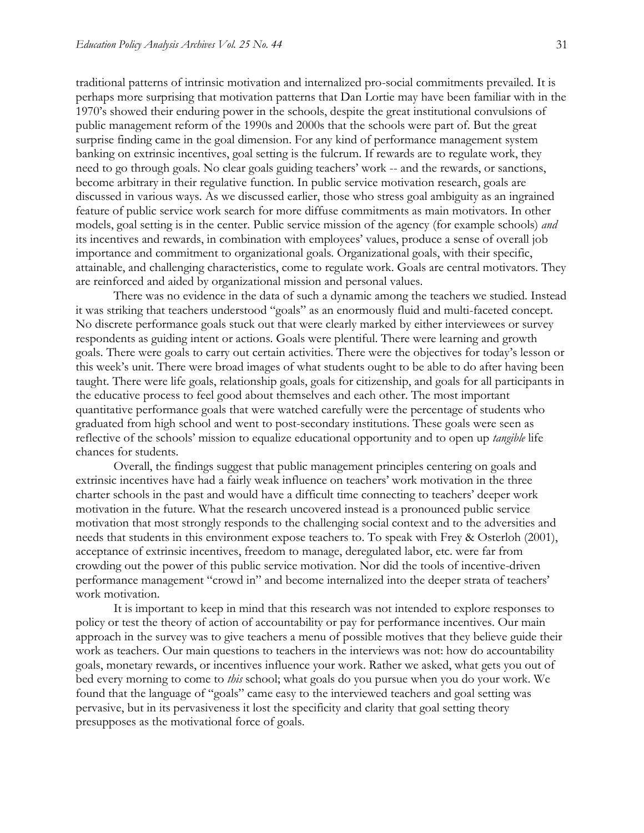traditional patterns of intrinsic motivation and internalized pro-social commitments prevailed. It is perhaps more surprising that motivation patterns that Dan Lortie may have been familiar with in the 1970's showed their enduring power in the schools, despite the great institutional convulsions of public management reform of the 1990s and 2000s that the schools were part of. But the great surprise finding came in the goal dimension. For any kind of performance management system banking on extrinsic incentives, goal setting is the fulcrum. If rewards are to regulate work, they need to go through goals. No clear goals guiding teachers' work -- and the rewards, or sanctions, become arbitrary in their regulative function. In public service motivation research, goals are discussed in various ways. As we discussed earlier, those who stress goal ambiguity as an ingrained feature of public service work search for more diffuse commitments as main motivators. In other models, goal setting is in the center. Public service mission of the agency (for example schools) *and*  its incentives and rewards, in combination with employees' values, produce a sense of overall job importance and commitment to organizational goals. Organizational goals, with their specific, attainable, and challenging characteristics, come to regulate work. Goals are central motivators. They are reinforced and aided by organizational mission and personal values.

There was no evidence in the data of such a dynamic among the teachers we studied. Instead it was striking that teachers understood "goals" as an enormously fluid and multi-faceted concept. No discrete performance goals stuck out that were clearly marked by either interviewees or survey respondents as guiding intent or actions. Goals were plentiful. There were learning and growth goals. There were goals to carry out certain activities. There were the objectives for today's lesson or this week's unit. There were broad images of what students ought to be able to do after having been taught. There were life goals, relationship goals, goals for citizenship, and goals for all participants in the educative process to feel good about themselves and each other. The most important quantitative performance goals that were watched carefully were the percentage of students who graduated from high school and went to post-secondary institutions. These goals were seen as reflective of the schools' mission to equalize educational opportunity and to open up *tangible* life chances for students.

Overall, the findings suggest that public management principles centering on goals and extrinsic incentives have had a fairly weak influence on teachers' work motivation in the three charter schools in the past and would have a difficult time connecting to teachers' deeper work motivation in the future. What the research uncovered instead is a pronounced public service motivation that most strongly responds to the challenging social context and to the adversities and needs that students in this environment expose teachers to. To speak with Frey & Osterloh (2001), acceptance of extrinsic incentives, freedom to manage, deregulated labor, etc. were far from crowding out the power of this public service motivation. Nor did the tools of incentive-driven performance management "crowd in" and become internalized into the deeper strata of teachers' work motivation.

It is important to keep in mind that this research was not intended to explore responses to policy or test the theory of action of accountability or pay for performance incentives. Our main approach in the survey was to give teachers a menu of possible motives that they believe guide their work as teachers. Our main questions to teachers in the interviews was not: how do accountability goals, monetary rewards, or incentives influence your work. Rather we asked, what gets you out of bed every morning to come to *this* school; what goals do you pursue when you do your work. We found that the language of "goals" came easy to the interviewed teachers and goal setting was pervasive, but in its pervasiveness it lost the specificity and clarity that goal setting theory presupposes as the motivational force of goals.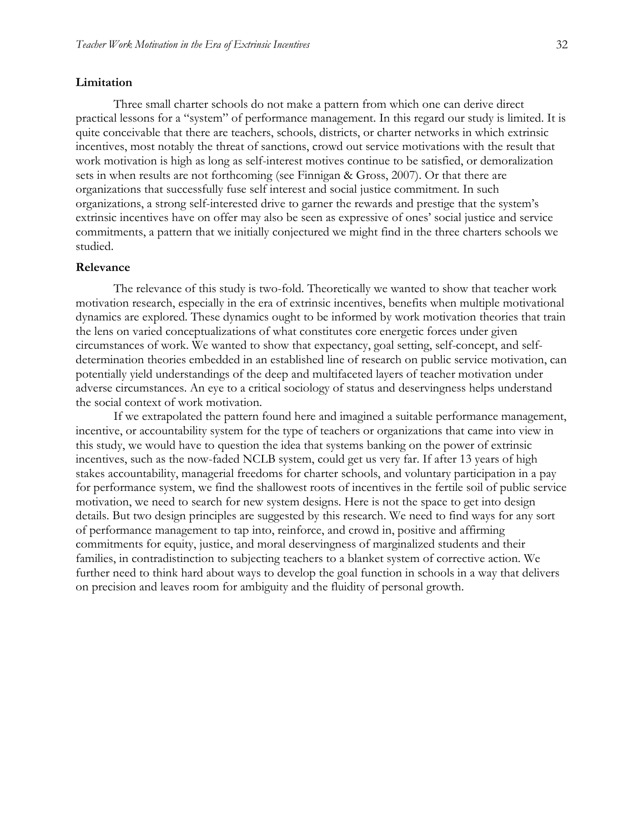#### **Limitation**

Three small charter schools do not make a pattern from which one can derive direct practical lessons for a "system" of performance management. In this regard our study is limited. It is quite conceivable that there are teachers, schools, districts, or charter networks in which extrinsic incentives, most notably the threat of sanctions, crowd out service motivations with the result that work motivation is high as long as self-interest motives continue to be satisfied, or demoralization sets in when results are not forthcoming (see Finnigan & Gross, 2007). Or that there are organizations that successfully fuse self interest and social justice commitment. In such organizations, a strong self-interested drive to garner the rewards and prestige that the system's extrinsic incentives have on offer may also be seen as expressive of ones' social justice and service commitments, a pattern that we initially conjectured we might find in the three charters schools we studied.

#### **Relevance**

The relevance of this study is two-fold. Theoretically we wanted to show that teacher work motivation research, especially in the era of extrinsic incentives, benefits when multiple motivational dynamics are explored. These dynamics ought to be informed by work motivation theories that train the lens on varied conceptualizations of what constitutes core energetic forces under given circumstances of work. We wanted to show that expectancy, goal setting, self-concept, and selfdetermination theories embedded in an established line of research on public service motivation, can potentially yield understandings of the deep and multifaceted layers of teacher motivation under adverse circumstances. An eye to a critical sociology of status and deservingness helps understand the social context of work motivation.

If we extrapolated the pattern found here and imagined a suitable performance management, incentive, or accountability system for the type of teachers or organizations that came into view in this study, we would have to question the idea that systems banking on the power of extrinsic incentives, such as the now-faded NCLB system, could get us very far. If after 13 years of high stakes accountability, managerial freedoms for charter schools, and voluntary participation in a pay for performance system, we find the shallowest roots of incentives in the fertile soil of public service motivation, we need to search for new system designs. Here is not the space to get into design details. But two design principles are suggested by this research. We need to find ways for any sort of performance management to tap into, reinforce, and crowd in, positive and affirming commitments for equity, justice, and moral deservingness of marginalized students and their families, in contradistinction to subjecting teachers to a blanket system of corrective action. We further need to think hard about ways to develop the goal function in schools in a way that delivers on precision and leaves room for ambiguity and the fluidity of personal growth.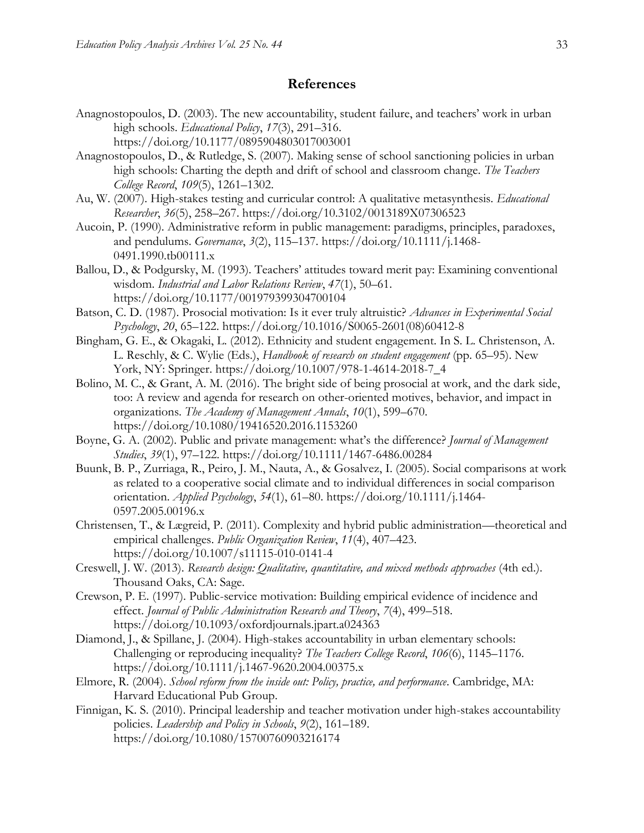## **References**

- Anagnostopoulos, D. (2003). The new accountability, student failure, and teachers' work in urban high schools. *Educational Policy*, *17*(3), 291–316. https://doi.org/10.1177/0895904803017003001
- Anagnostopoulos, D., & Rutledge, S. (2007). Making sense of school sanctioning policies in urban high schools: Charting the depth and drift of school and classroom change. *The Teachers College Record*, *109*(5), 1261–1302.
- Au, W. (2007). High-stakes testing and curricular control: A qualitative metasynthesis. *Educational Researcher*, *36*(5), 258–267. https://doi.org/10.3102/0013189X07306523
- Aucoin, P. (1990). Administrative reform in public management: paradigms, principles, paradoxes, and pendulums. *Governance*, *3*(2), 115–137. https://doi.org/10.1111/j.1468- 0491.1990.tb00111.x
- Ballou, D., & Podgursky, M. (1993). Teachers' attitudes toward merit pay: Examining conventional wisdom. *Industrial and Labor Relations Review*, *47*(1), 50–61. https://doi.org/10.1177/001979399304700104
- Batson, C. D. (1987). Prosocial motivation: Is it ever truly altruistic? *Advances in Experimental Social Psychology*, *20*, 65–122. https://doi.org/10.1016/S0065-2601(08)60412-8
- Bingham, G. E., & Okagaki, L. (2012). Ethnicity and student engagement. In S. L. Christenson, A. L. Reschly, & C. Wylie (Eds.), *Handbook of research on student engagement* (pp. 65–95). New York, NY: Springer. https://doi.org/10.1007/978-1-4614-2018-7\_4
- Bolino, M. C., & Grant, A. M. (2016). The bright side of being prosocial at work, and the dark side, too: A review and agenda for research on other-oriented motives, behavior, and impact in organizations. *The Academy of Management Annals*, *10*(1), 599–670. https://doi.org/10.1080/19416520.2016.1153260
- Boyne, G. A. (2002). Public and private management: what's the difference? *Journal of Management Studies*, *39*(1), 97–122. https://doi.org/10.1111/1467-6486.00284
- Buunk, B. P., Zurriaga, R., Peiro, J. M., Nauta, A., & Gosalvez, I. (2005). Social comparisons at work as related to a cooperative social climate and to individual differences in social comparison orientation. *Applied Psychology*, *54*(1), 61–80. https://doi.org/10.1111/j.1464- 0597.2005.00196.x
- Christensen, T., & Lægreid, P. (2011). Complexity and hybrid public administration—theoretical and empirical challenges. *Public Organization Review*, *11*(4), 407–423. https://doi.org/10.1007/s11115-010-0141-4
- Creswell, J. W. (2013). *Research design: Qualitative, quantitative, and mixed methods approaches* (4th ed.). Thousand Oaks, CA: Sage.
- Crewson, P. E. (1997). Public-service motivation: Building empirical evidence of incidence and effect. *Journal of Public Administration Research and Theory*, *7*(4), 499–518. https://doi.org/10.1093/oxfordjournals.jpart.a024363
- Diamond, J., & Spillane, J. (2004). High-stakes accountability in urban elementary schools: Challenging or reproducing inequality? *The Teachers College Record*, *106*(6), 1145–1176. https://doi.org/10.1111/j.1467-9620.2004.00375.x
- Elmore, R. (2004). *School reform from the inside out: Policy, practice, and performance*. Cambridge, MA: Harvard Educational Pub Group.
- Finnigan, K. S. (2010). Principal leadership and teacher motivation under high-stakes accountability policies. *Leadership and Policy in Schools*, *9*(2), 161–189. https://doi.org/10.1080/15700760903216174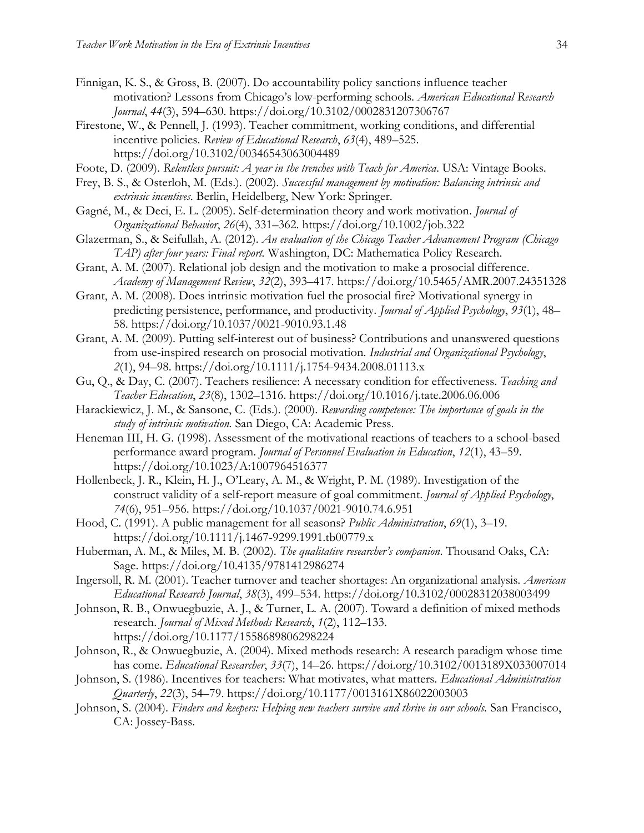- Finnigan, K. S., & Gross, B. (2007). Do accountability policy sanctions influence teacher motivation? Lessons from Chicago's low-performing schools. *American Educational Research Journal*, *44*(3), 594–630. https://doi.org/10.3102/0002831207306767
- Firestone, W., & Pennell, J. (1993). Teacher commitment, working conditions, and differential incentive policies. *Review of Educational Research*, *63*(4), 489–525. https://doi.org/10.3102/00346543063004489
- Foote, D. (2009). *Relentless pursuit: A year in the trenches with Teach for America*. USA: Vintage Books.
- Frey, B. S., & Osterloh, M. (Eds.). (2002). *Successful management by motivation: Balancing intrinsic and extrinsic incentives*. Berlin, Heidelberg, New York: Springer.
- Gagné, M., & Deci, E. L. (2005). Self-determination theory and work motivation. *Journal of Organizational Behavior*, *26*(4), 331–362. https://doi.org/10.1002/job.322
- Glazerman, S., & Seifullah, A. (2012). *An evaluation of the Chicago Teacher Advancement Program (Chicago TAP) after four years: Final report.* Washington, DC: Mathematica Policy Research.
- Grant, A. M. (2007). Relational job design and the motivation to make a prosocial difference. *Academy of Management Review*, *32*(2), 393–417. https://doi.org/10.5465/AMR.2007.24351328
- Grant, A. M. (2008). Does intrinsic motivation fuel the prosocial fire? Motivational synergy in predicting persistence, performance, and productivity. *Journal of Applied Psychology*, *93*(1), 48– 58. https://doi.org/10.1037/0021-9010.93.1.48
- Grant, A. M. (2009). Putting self-interest out of business? Contributions and unanswered questions from use-inspired research on prosocial motivation. *Industrial and Organizational Psychology*, *2*(1), 94–98. https://doi.org/10.1111/j.1754-9434.2008.01113.x
- Gu, Q., & Day, C. (2007). Teachers resilience: A necessary condition for effectiveness. *Teaching and Teacher Education*, *23*(8), 1302–1316. https://doi.org/10.1016/j.tate.2006.06.006
- Harackiewicz, J. M., & Sansone, C. (Eds.). (2000). *Rewarding competence: The importance of goals in the study of intrinsic motivation.* San Diego, CA: Academic Press.
- Heneman III, H. G. (1998). Assessment of the motivational reactions of teachers to a school-based performance award program. *Journal of Personnel Evaluation in Education*, *12*(1), 43–59. https://doi.org/10.1023/A:1007964516377
- Hollenbeck, J. R., Klein, H. J., O'Leary, A. M., & Wright, P. M. (1989). Investigation of the construct validity of a self-report measure of goal commitment. *Journal of Applied Psychology*, *74*(6), 951–956. https://doi.org/10.1037/0021-9010.74.6.951
- Hood, C. (1991). A public management for all seasons? *Public Administration*, *69*(1), 3–19. https://doi.org/10.1111/j.1467-9299.1991.tb00779.x
- Huberman, A. M., & Miles, M. B. (2002). *The qualitative researcher's companion*. Thousand Oaks, CA: Sage. https://doi.org/10.4135/9781412986274
- Ingersoll, R. M. (2001). Teacher turnover and teacher shortages: An organizational analysis. *American Educational Research Journal*, *38*(3), 499–534. https://doi.org/10.3102/00028312038003499
- Johnson, R. B., Onwuegbuzie, A. J., & Turner, L. A. (2007). Toward a definition of mixed methods research. *Journal of Mixed Methods Research*, *1*(2), 112–133. https://doi.org/10.1177/1558689806298224
- Johnson, R., & Onwuegbuzie, A. (2004). Mixed methods research: A research paradigm whose time has come. *Educational Researcher*, *33*(7), 14–26. https://doi.org/10.3102/0013189X033007014
- Johnson, S. (1986). Incentives for teachers: What motivates, what matters. *Educational Administration Quarterly*, *22*(3), 54–79. https://doi.org/10.1177/0013161X86022003003
- Johnson, S. (2004). *Finders and keepers: Helping new teachers survive and thrive in our schools.* San Francisco, CA: Jossey-Bass.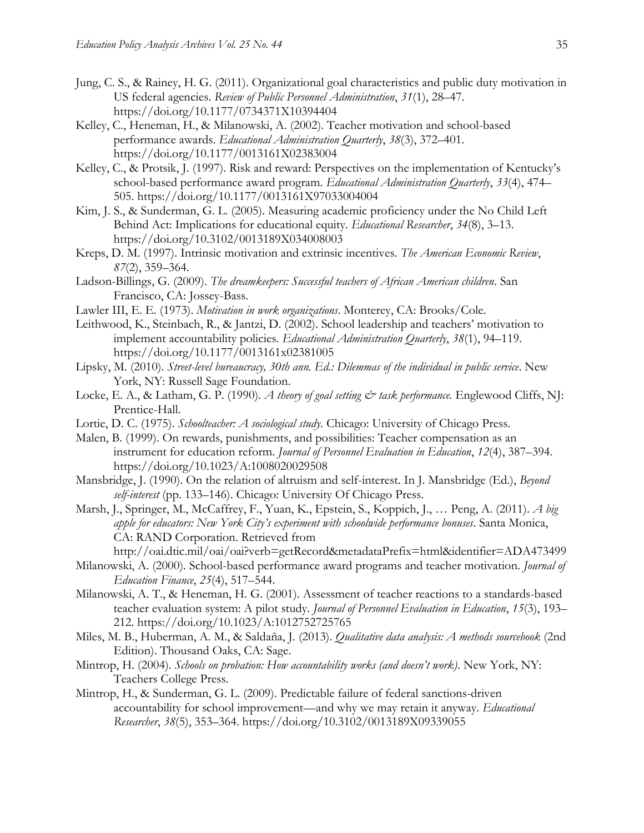- Jung, C. S., & Rainey, H. G. (2011). Organizational goal characteristics and public duty motivation in US federal agencies. *Review of Public Personnel Administration*, *31*(1), 28–47. https://doi.org/10.1177/0734371X10394404
- Kelley, C., Heneman, H., & Milanowski, A. (2002). Teacher motivation and school-based performance awards. *Educational Administration Quarterly*, *38*(3), 372–401. https://doi.org/10.1177/0013161X02383004
- Kelley, C., & Protsik, J. (1997). Risk and reward: Perspectives on the implementation of Kentucky's school-based performance award program. *Educational Administration Quarterly*, *33*(4), 474– 505. https://doi.org/10.1177/0013161X97033004004
- Kim, J. S., & Sunderman, G. L. (2005). Measuring academic proficiency under the No Child Left Behind Act: Implications for educational equity. *Educational Researcher*, *34*(8), 3–13. https://doi.org/10.3102/0013189X034008003
- Kreps, D. M. (1997). Intrinsic motivation and extrinsic incentives. *The American Economic Review*, *87*(2), 359–364.
- Ladson-Billings, G. (2009). *The dreamkeepers: Successful teachers of African American children*. San Francisco, CA: Jossey-Bass.
- Lawler III, E. E. (1973). *Motivation in work organizations*. Monterey, CA: Brooks/Cole.
- Leithwood, K., Steinbach, R., & Jantzi, D. (2002). School leadership and teachers' motivation to implement accountability policies. *Educational Administration Quarterly*, *38*(1), 94–119. https://doi.org/10.1177/0013161x02381005
- Lipsky, M. (2010). *Street-level bureaucracy, 30th ann. Ed.: Dilemmas of the individual in public service*. New York, NY: Russell Sage Foundation.
- Locke, E. A., & Latham, G. P. (1990). *A theory of goal setting*  $\mathcal{C}^*$  *task performance*. Englewood Cliffs, NJ: Prentice-Hall.
- Lortie, D. C. (1975). *Schoolteacher: A sociological study*. Chicago: University of Chicago Press.
- Malen, B. (1999). On rewards, punishments, and possibilities: Teacher compensation as an instrument for education reform. *Journal of Personnel Evaluation in Education*, *12*(4), 387–394. https://doi.org/10.1023/A:1008020029508
- Mansbridge, J. (1990). On the relation of altruism and self-interest. In J. Mansbridge (Ed.), *Beyond self-interest* (pp. 133–146). Chicago: University Of Chicago Press.
- Marsh, J., Springer, M., McCaffrey, F., Yuan, K., Epstein, S., Koppich, J., … Peng, A. (2011). *A big apple for educators: New York City's experiment with schoolwide performance bonuses*. Santa Monica, CA: RAND Corporation. Retrieved from

http://oai.dtic.mil/oai/oai?verb=getRecord&metadataPrefix=html&identifier=ADA473499

- Milanowski, A. (2000). School-based performance award programs and teacher motivation. *Journal of Education Finance*, *25*(4), 517–544.
- Milanowski, A. T., & Heneman, H. G. (2001). Assessment of teacher reactions to a standards-based teacher evaluation system: A pilot study. *Journal of Personnel Evaluation in Education*, *15*(3), 193– 212. https://doi.org/10.1023/A:1012752725765
- Miles, M. B., Huberman, A. M., & Saldaña, J. (2013). *Qualitative data analysis: A methods sourcebook* (2nd Edition). Thousand Oaks, CA: Sage.
- Mintrop, H. (2004). *Schools on probation: How accountability works (and doesn't work)*. New York, NY: Teachers College Press.
- Mintrop, H., & Sunderman, G. L. (2009). Predictable failure of federal sanctions-driven accountability for school improvement—and why we may retain it anyway. *Educational Researcher*, *38*(5), 353–364. https://doi.org/10.3102/0013189X09339055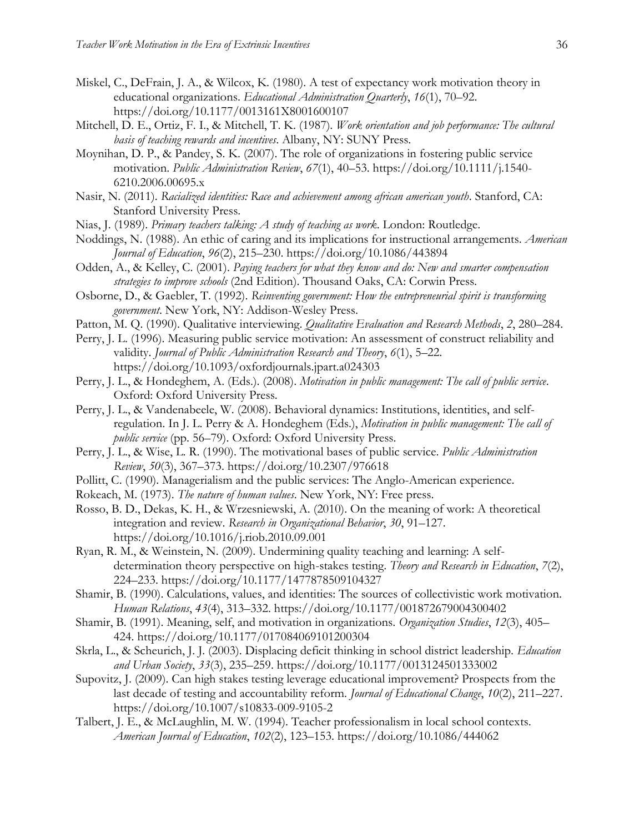- Miskel, C., DeFrain, J. A., & Wilcox, K. (1980). A test of expectancy work motivation theory in educational organizations. *Educational Administration Quarterly*, *16*(1), 70–92. https://doi.org/10.1177/0013161X8001600107
- Mitchell, D. E., Ortiz, F. I., & Mitchell, T. K. (1987). *Work orientation and job performance: The cultural basis of teaching rewards and incentives*. Albany, NY: SUNY Press.
- Moynihan, D. P., & Pandey, S. K. (2007). The role of organizations in fostering public service motivation. *Public Administration Review*, *67*(1), 40–53. https://doi.org/10.1111/j.1540- 6210.2006.00695.x
- Nasir, N. (2011). *Racialized identities: Race and achievement among african american youth*. Stanford, CA: Stanford University Press.
- Nias, J. (1989). *Primary teachers talking: A study of teaching as work*. London: Routledge.
- Noddings, N. (1988). An ethic of caring and its implications for instructional arrangements. *American Journal of Education*, *96*(2), 215–230. https://doi.org/10.1086/443894
- Odden, A., & Kelley, C. (2001). *Paying teachers for what they know and do: New and smarter compensation strategies to improve schools* (2nd Edition). Thousand Oaks, CA: Corwin Press.
- Osborne, D., & Gaebler, T. (1992). *Reinventing government: How the entrepreneurial spirit is transforming government*. New York, NY: Addison-Wesley Press.
- Patton, M. Q. (1990). Qualitative interviewing. *Qualitative Evaluation and Research Methods*, *2*, 280–284.
- Perry, J. L. (1996). Measuring public service motivation: An assessment of construct reliability and validity. *Journal of Public Administration Research and Theory*, *6*(1), 5–22. https://doi.org/10.1093/oxfordjournals.jpart.a024303
- Perry, J. L., & Hondeghem, A. (Eds.). (2008). *Motivation in public management: The call of public service*. Oxford: Oxford University Press.
- Perry, J. L., & Vandenabeele, W. (2008). Behavioral dynamics: Institutions, identities, and selfregulation. In J. L. Perry & A. Hondeghem (Eds.), *Motivation in public management: The call of public service* (pp. 56–79). Oxford: Oxford University Press.
- Perry, J. L., & Wise, L. R. (1990). The motivational bases of public service. *Public Administration Review*, *50*(3), 367–373. https://doi.org/10.2307/976618
- Pollitt, C. (1990). Managerialism and the public services: The Anglo-American experience.
- Rokeach, M. (1973). *The nature of human values*. New York, NY: Free press.
- Rosso, B. D., Dekas, K. H., & Wrzesniewski, A. (2010). On the meaning of work: A theoretical integration and review. *Research in Organizational Behavior*, *30*, 91–127. https://doi.org/10.1016/j.riob.2010.09.001
- Ryan, R. M., & Weinstein, N. (2009). Undermining quality teaching and learning: A selfdetermination theory perspective on high-stakes testing. *Theory and Research in Education*, *7*(2), 224–233. https://doi.org/10.1177/1477878509104327
- Shamir, B. (1990). Calculations, values, and identities: The sources of collectivistic work motivation. *Human Relations*, *43*(4), 313–332. https://doi.org/10.1177/001872679004300402
- Shamir, B. (1991). Meaning, self, and motivation in organizations. *Organization Studies*, *12*(3), 405– 424. https://doi.org/10.1177/017084069101200304
- Skrla, L., & Scheurich, J. J. (2003). Displacing deficit thinking in school district leadership. *Education and Urban Society*, *33*(3), 235–259. https://doi.org/10.1177/0013124501333002
- Supovitz, J. (2009). Can high stakes testing leverage educational improvement? Prospects from the last decade of testing and accountability reform. *Journal of Educational Change*, *10*(2), 211–227. https://doi.org/10.1007/s10833-009-9105-2
- Talbert, J. E., & McLaughlin, M. W. (1994). Teacher professionalism in local school contexts. *American Journal of Education*, *102*(2), 123–153. https://doi.org/10.1086/444062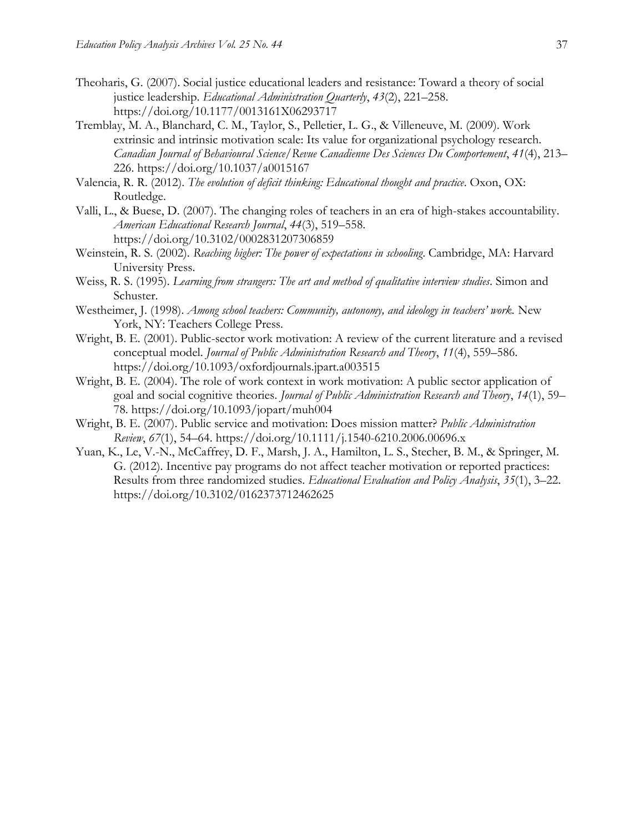- Theoharis, G. (2007). Social justice educational leaders and resistance: Toward a theory of social justice leadership. *Educational Administration Quarterly*, *43*(2), 221–258. https://doi.org/10.1177/0013161X06293717
- Tremblay, M. A., Blanchard, C. M., Taylor, S., Pelletier, L. G., & Villeneuve, M. (2009). Work extrinsic and intrinsic motivation scale: Its value for organizational psychology research. *Canadian Journal of Behavioural Science/Revue Canadienne Des Sciences Du Comportement*, *41*(4), 213– 226. https://doi.org/10.1037/a0015167
- Valencia, R. R. (2012). *The evolution of deficit thinking: Educational thought and practice*. Oxon, OX: Routledge.
- Valli, L., & Buese, D. (2007). The changing roles of teachers in an era of high-stakes accountability. *American Educational Research Journal*, *44*(3), 519–558. https://doi.org/10.3102/0002831207306859
- Weinstein, R. S. (2002). *Reaching higher: The power of expectations in schooling*. Cambridge, MA: Harvard University Press.
- Weiss, R. S. (1995). *Learning from strangers: The art and method of qualitative interview studies*. Simon and Schuster.
- Westheimer, J. (1998). *Among school teachers: Community, autonomy, and ideology in teachers' work.* New York, NY: Teachers College Press.
- Wright, B. E. (2001). Public-sector work motivation: A review of the current literature and a revised conceptual model. *Journal of Public Administration Research and Theory*, *11*(4), 559–586. https://doi.org/10.1093/oxfordjournals.jpart.a003515
- Wright, B. E. (2004). The role of work context in work motivation: A public sector application of goal and social cognitive theories. *Journal of Public Administration Research and Theory*, *14*(1), 59– 78. https://doi.org/10.1093/jopart/muh004
- Wright, B. E. (2007). Public service and motivation: Does mission matter? *Public Administration Review*, *67*(1), 54–64. https://doi.org/10.1111/j.1540-6210.2006.00696.x
- Yuan, K., Le, V.-N., McCaffrey, D. F., Marsh, J. A., Hamilton, L. S., Stecher, B. M., & Springer, M. G. (2012). Incentive pay programs do not affect teacher motivation or reported practices: Results from three randomized studies. *Educational Evaluation and Policy Analysis*, *35*(1), 3–22. https://doi.org/10.3102/0162373712462625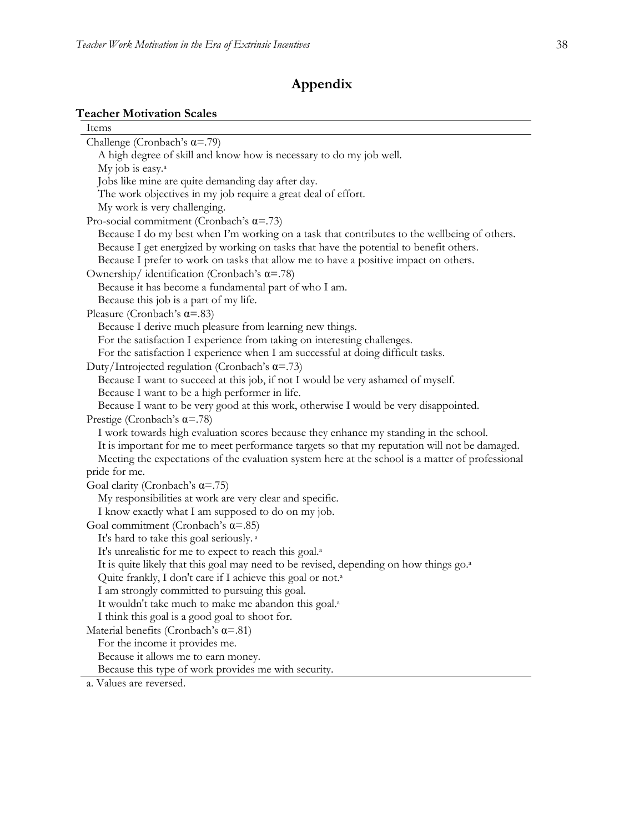## **Appendix**

## **Teacher Motivation Scales**

| Items                                                                                              |  |
|----------------------------------------------------------------------------------------------------|--|
| Challenge (Cronbach's $\alpha$ =.79)                                                               |  |
| A high degree of skill and know how is necessary to do my job well.                                |  |
| My job is easy. <sup>a</sup>                                                                       |  |
| Jobs like mine are quite demanding day after day.                                                  |  |
| The work objectives in my job require a great deal of effort.                                      |  |
| My work is very challenging.                                                                       |  |
| Pro-social commitment (Cronbach's $\alpha$ =.73)                                                   |  |
| Because I do my best when I'm working on a task that contributes to the wellbeing of others.       |  |
| Because I get energized by working on tasks that have the potential to benefit others.             |  |
| Because I prefer to work on tasks that allow me to have a positive impact on others.               |  |
| Ownership/identification (Cronbach's $\alpha$ =.78)                                                |  |
| Because it has become a fundamental part of who I am.                                              |  |
| Because this job is a part of my life.                                                             |  |
| Pleasure (Cronbach's $\alpha$ =.83)                                                                |  |
| Because I derive much pleasure from learning new things.                                           |  |
| For the satisfaction I experience from taking on interesting challenges.                           |  |
| For the satisfaction I experience when I am successful at doing difficult tasks.                   |  |
| Duty/Introjected regulation (Cronbach's $\alpha$ =.73)                                             |  |
| Because I want to succeed at this job, if not I would be very ashamed of myself.                   |  |
| Because I want to be a high performer in life.                                                     |  |
| Because I want to be very good at this work, otherwise I would be very disappointed.               |  |
| Prestige (Cronbach's $\alpha$ =.78)                                                                |  |
| I work towards high evaluation scores because they enhance my standing in the school.              |  |
| It is important for me to meet performance targets so that my reputation will not be damaged.      |  |
| Meeting the expectations of the evaluation system here at the school is a matter of professional   |  |
| pride for me.                                                                                      |  |
| Goal clarity (Cronbach's $\alpha$ =.75)                                                            |  |
| My responsibilities at work are very clear and specific.                                           |  |
| I know exactly what I am supposed to do on my job.                                                 |  |
| Goal commitment (Cronbach's $\alpha$ =.85)                                                         |  |
| It's hard to take this goal seriously. <sup>a</sup>                                                |  |
| It's unrealistic for me to expect to reach this goal. <sup>a</sup>                                 |  |
| It is quite likely that this goal may need to be revised, depending on how things go. <sup>2</sup> |  |
| Quite frankly, I don't care if I achieve this goal or not. <sup>a</sup>                            |  |
| I am strongly committed to pursuing this goal.                                                     |  |
| It wouldn't take much to make me abandon this goal. <sup>a</sup>                                   |  |
| I think this goal is a good goal to shoot for.                                                     |  |
| Material benefits (Cronbach's $\alpha$ =.81)                                                       |  |
| For the income it provides me.                                                                     |  |
| Because it allows me to earn money.                                                                |  |
| Because this type of work provides me with security.                                               |  |
| a. Values are reversed.                                                                            |  |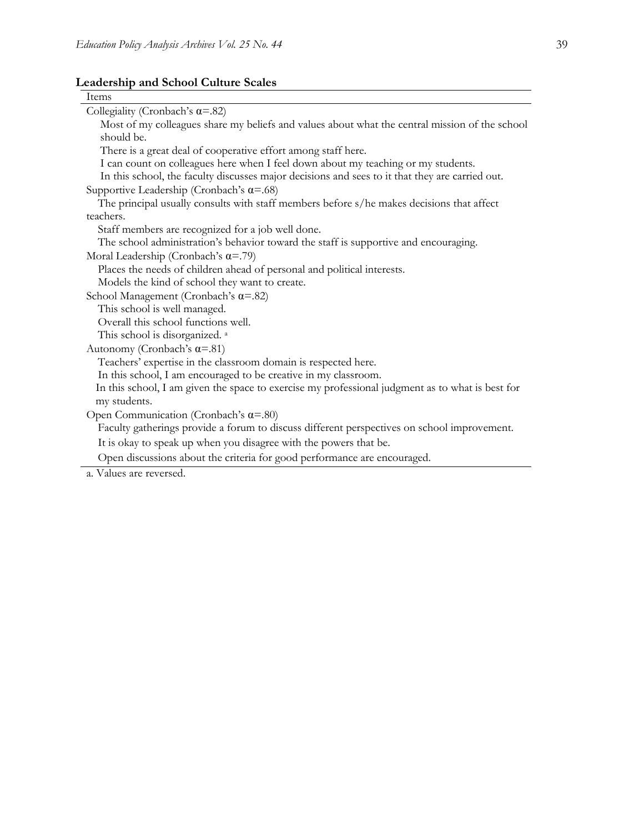#### **Leadership and School Culture Scales**

| Items                                                                                            |
|--------------------------------------------------------------------------------------------------|
| Collegiality (Cronbach's $\alpha$ =.82)                                                          |
| Most of my colleagues share my beliefs and values about what the central mission of the school   |
| should be.                                                                                       |
| There is a great deal of cooperative effort among staff here.                                    |
| I can count on colleagues here when I feel down about my teaching or my students.                |
| In this school, the faculty discusses major decisions and sees to it that they are carried out.  |
| Supportive Leadership (Cronbach's $\alpha = .68$ )                                               |
| The principal usually consults with staff members before s/he makes decisions that affect        |
| teachers.                                                                                        |
| Staff members are recognized for a job well done.                                                |
| The school administration's behavior toward the staff is supportive and encouraging.             |
| Moral Leadership (Cronbach's $\alpha$ =.79)                                                      |
| Places the needs of children ahead of personal and political interests.                          |
| Models the kind of school they want to create.                                                   |
| School Management (Cronbach's $\alpha = .82$ )                                                   |
| This school is well managed.                                                                     |
| Overall this school functions well.                                                              |
| This school is disorganized. <sup>a</sup>                                                        |
| Autonomy (Cronbach's $\alpha$ =.81)                                                              |
| Teachers' expertise in the classroom domain is respected here.                                   |
| In this school, I am encouraged to be creative in my classroom.                                  |
| In this school, I am given the space to exercise my professional judgment as to what is best for |
| my students.                                                                                     |
| Open Communication (Cronbach's $\alpha$ =.80)                                                    |
| Faculty gatherings provide a forum to discuss different perspectives on school improvement.      |
| It is okay to speak up when you disagree with the powers that be.                                |
| Open discussions about the criteria for good performance are encouraged.                         |

a. Values are reversed.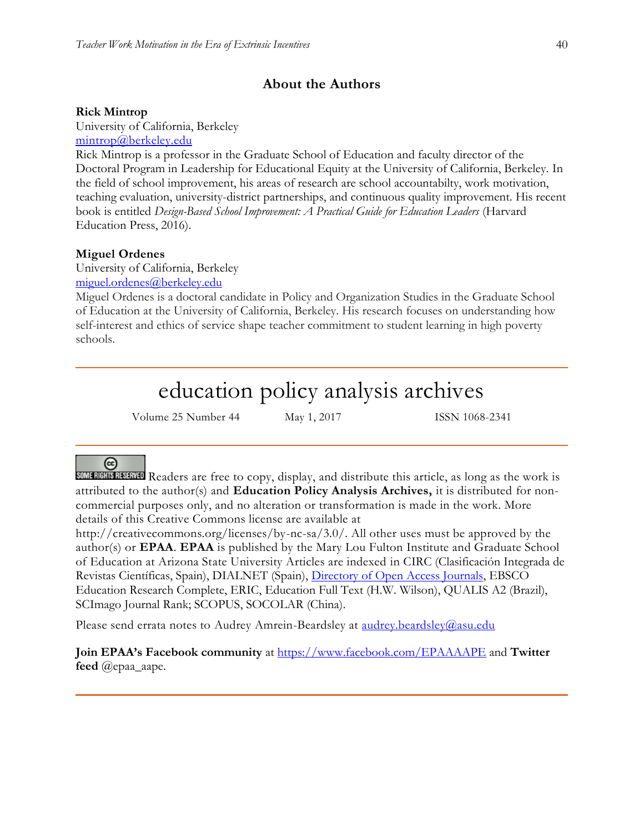## **About the Authors**

#### **Rick Mintrop**

University of California, Berkeley

[mintrop@berkeley.edu](mailto:mintrop@berkeley.edu)

Rick Mintrop is a professor in the Graduate School of Education and faculty director of the Doctoral Program in Leadership for Educational Equity at the University of California, Berkeley. In the field of school improvement, his areas of research are school accountabilty, work motivation, teaching evaluation, university-district partnerships, and continuous quality improvement. His recent book is entitled *Design-Based School Improvement: A Practical Guide for Education Leaders* (Harvard Education Press, 2016).

#### **Miguel Ordenes**

University of California, Berkeley

[miguel.ordenes@berkeley.edu](mailto:miguel.ordenes@berkeley.edu)

Miguel Ordenes is a doctoral candidate in Policy and Organization Studies in the Graduate School of Education at the University of California, Berkeley. His research focuses on understanding how self-interest and ethics of service shape teacher commitment to student learning in high poverty schools.

# education policy analysis archives

Volume 25 Number 44 May 1, 2017 ISSN 1068-2341

### $(c)$

SOME RIGHTS RESERVED Readers are free to copy, display, and distribute this article, as long as the work is attributed to the author(s) and **Education Policy Analysis Archives,** it is distributed for noncommercial purposes only, and no alteration or transformation is made in the work. More details of this Creative Commons license are available at

http://creativecommons.org/licenses/by-nc-sa/3.0/. All other uses must be approved by the author(s) or **EPAA**. **EPAA** is published by the Mary Lou Fulton Institute and Graduate School of Education at Arizona State University Articles are indexed in CIRC (Clasificación Integrada de Revistas Científicas, Spain), DIALNET (Spain), [Directory of Open Access Journals,](http://www.doaj.org/) EBSCO Education Research Complete, ERIC, Education Full Text (H.W. Wilson), QUALIS A2 (Brazil), SCImago Journal Rank; SCOPUS, SOCOLAR (China).

Please send errata notes to Audrey Amrein-Beardsley at [audrey.beardsley@asu.edu](mailto:audrey.beardsley@asu.edu)

**Join EPAA's Facebook community** at<https://www.facebook.com/EPAAAAPE> and **Twitter feed** @epaa\_aape.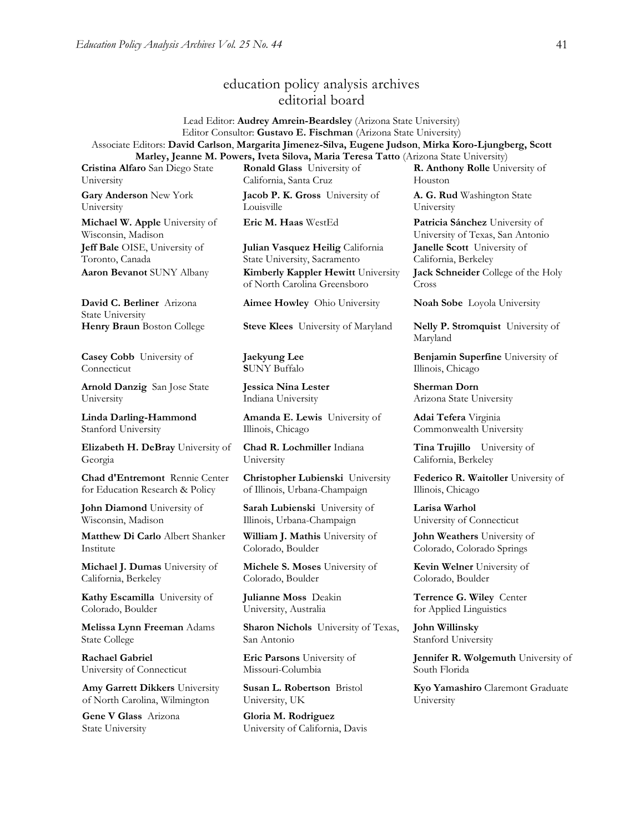## education policy analysis archives editorial board

Lead Editor: **Audrey Amrein-Beardsley** (Arizona State University) Editor Consultor: **Gustavo E. Fischman** (Arizona State University) Associate Editors: **David Carlson**, **Margarita Jimenez-Silva, Eugene Judson**, **Mirka Koro-Ljungberg, Scott Marley, Jeanne M. Powers, Iveta Silova, Maria Teresa Tatto** (Arizona State University)

**Cristina Alfaro** San Diego State University

**Gary Anderson** New York University

**Michael W. Apple** University of Wisconsin, Madison **Jeff Bale** OISE, University of Toronto, Canada **Aaron Bevanot** SUNY Albany **Kimberly Kappler Hewitt** University

**David C. Berliner** Arizona State University

**Casey Cobb** University of Connecticut

**Arnold Danzig** San Jose State University

**Linda Darling-Hammond**  Stanford University

**Elizabeth H. DeBray** University of Georgia

**Chad d'Entremont** Rennie Center for Education Research & Policy

**John Diamond** University of Wisconsin, Madison

**Matthew Di Carlo** Albert Shanker Institute

**Michael J. Dumas** University of California, Berkeley

**Kathy Escamilla** University of Colorado, Boulder

**Melissa Lynn Freeman** Adams State College

**Rachael Gabriel** University of Connecticut

**Amy Garrett Dikkers** University of North Carolina, Wilmington

**Gene V Glass** Arizona State University

**Ronald Glass** University of California, Santa Cruz

**Jacob P. K. Gross** University of Louisville

**Julian Vasquez Heilig** California State University, Sacramento

of North Carolina Greensboro

**Aimee Howley** Ohio University **Noah Sobe** Loyola University

**Henry Braun** Boston College **Steve Klees** University of Maryland **Nelly P. Stromquist** University of

**Jaekyung Lee S**UNY Buffalo

**Jessica Nina Lester** Indiana University

**Amanda E. Lewis** University of Illinois, Chicago

**Chad R. Lochmiller** Indiana University

**Christopher Lubienski** University of Illinois, Urbana-Champaign

**Sarah Lubienski** University of Illinois, Urbana-Champaign

**William J. Mathis** University of Colorado, Boulder

**Michele S. Moses** University of Colorado, Boulder

**Julianne Moss** Deakin University, Australia

**Sharon Nichols** University of Texas, San Antonio

**Eric Parsons** University of Missouri-Columbia

**Susan L. Robertson** Bristol University, UK

**Gloria M. Rodriguez** University of California, Davis **R. Anthony Rolle** University of Houston

**A. G. Rud** Washington State University

**Eric M. Haas** WestEd **Patricia Sánchez** University of University of Texas, San Antonio **Janelle Scott** University of California, Berkeley **Jack Schneider** College of the Holy

Cross

Maryland

**Benjamin Superfine** University of Illinois, Chicago

**Sherman Dorn** Arizona State University

**Adai Tefera** Virginia Commonwealth University

**Tina Trujillo** University of California, Berkeley

**Federico R. Waitoller** University of Illinois, Chicago

**Larisa Warhol** University of Connecticut

**John Weathers** University of Colorado, Colorado Springs

**Kevin Welner** University of Colorado, Boulder

**Terrence G. Wiley** Center for Applied Linguistics

**John Willinsky**  Stanford University

**Jennifer R. Wolgemuth** University of South Florida

**Kyo Yamashiro** Claremont Graduate University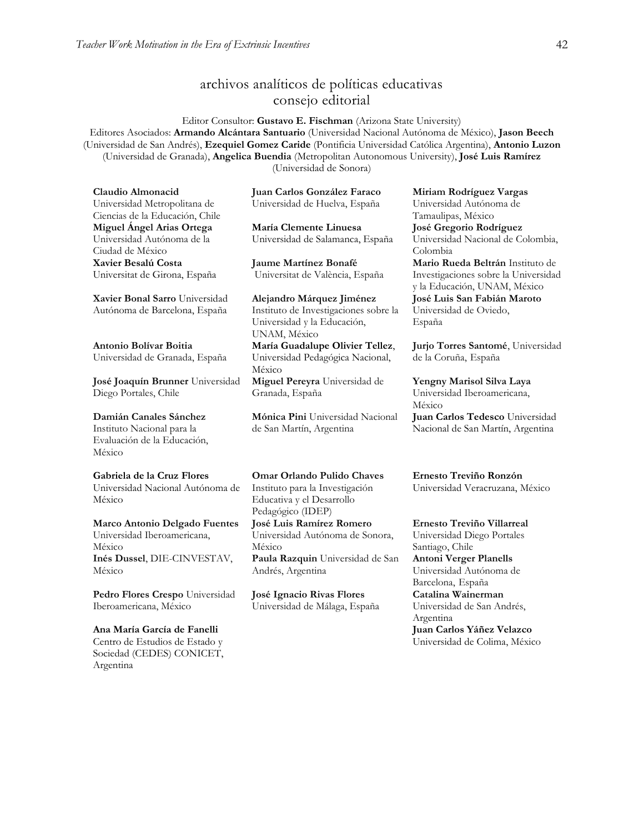## archivos analíticos de políticas educativas consejo editorial

Editor Consultor: **Gustavo E. Fischman** (Arizona State University) Editores Asociados: **Armando Alcántara Santuario** (Universidad Nacional Autónoma de México), **Jason Beech** (Universidad de San Andrés), **Ezequiel Gomez Caride** (Pontificia Universidad Católica Argentina), **Antonio Luzon** (Universidad de Granada), **Angelica Buendia** (Metropolitan Autonomous University), **José Luis Ramírez** (Universidad de Sonora)

**Claudio Almonacid** Universidad Metropolitana de Ciencias de la Educación, Chile **Miguel Ángel Arias Ortega**  Universidad Autónoma de la Ciudad de México **Xavier Besalú Costa**  Universitat de Girona, España

**[Xavier Bonal](javascript:openRTWindow() Sarro** Universidad Autónoma de Barcelona, España

**[Antonio Bolívar](javascript:openRTWindow() Boitia** Universidad de Granada, España

**[José Joaquín Brunner](javascript:openRTWindow()** Universidad Diego Portales, Chile

**[Damián Canales Sánchez](javascript:openRTWindow()** Instituto Nacional para la Evaluación de la Educación, México

#### **Gabriela de la Cruz Flores** Universidad Nacional Autónoma de

México

#### **[Marco Antonio Delgado Fuentes](javascript:openRTWindow()** Universidad Iberoamericana,

México **[Inés Dussel](javascript:openRTWindow()**, DIE-CINVESTAV, México

**[Pedro Flores Crespo](javascript:openRTWindow()** Universidad Iberoamericana, México

#### **Ana María García de Fanelli**  Centro de Estudios de Estado y Sociedad (CEDES) CONICET, Argentina

**Juan Carlos González Faraco**  Universidad de Huelva, España

**María Clemente Linuesa**  Universidad de Salamanca, España

**Jaume Martínez Bonafé** Universitat de València, España

**Alejandro Márquez Jiménez**  Instituto de Investigaciones sobre la Universidad y la Educación, UNAM, México **María Guadalupe Olivier Tellez**, Universidad Pedagógica Nacional, México **[Miguel Pereyra](javascript:openRTWindow()** Universidad de Granada, España

**[Mónica Pini](javascript:openRTWindow()** Universidad Nacional de San Martín, Argentina

#### **Omar Orlando Pulido Chaves** Instituto para la Investigación

Educativa y el Desarrollo Pedagógico (IDEP) **[José Luis Ramírez](javascript:openRTWindow() Romero**

Universidad Autónoma de Sonora, México **[Paula Razquin](javascript:openRTWindow()** Universidad de San Andrés, Argentina

**José Ignacio Rivas Flores** Universidad de Málaga, España **[Miriam Rodríguez Vargas](javascript:openRTWindow()** Universidad Autónoma de Tamaulipas, México **José Gregorio Rodríguez**  Universidad Nacional de Colombia, Colombia **[Mario Rueda Beltrán](javascript:openRTWindow()** Instituto de Investigaciones sobre la Universidad y la Educación, UNAM, México **José Luis San Fabián Maroto**  Universidad de Oviedo, España

**[Jurjo Torres Santomé](javascript:openRTWindow()**, Universidad de la Coruña, España

#### **[Yengny Marisol Silva Laya](javascript:openRTWindow()** Universidad Iberoamericana, México **Juan Carlos Tedesco** Universidad Nacional de San Martín, Argentina

**Ernesto Treviño Ronzón** Universidad Veracruzana, México

**[Ernesto Treviño](javascript:openRTWindow() Villarreal** Universidad Diego Portales Santiago, Chile **[Antoni Verger Planells](javascript:openRTWindow()** Universidad Autónoma de

Barcelona, España **[Catalina Wainerman](javascript:openRTWindow()** Universidad de San Andrés, Argentina

**Juan Carlos Yáñez Velazco** Universidad de Colima, México